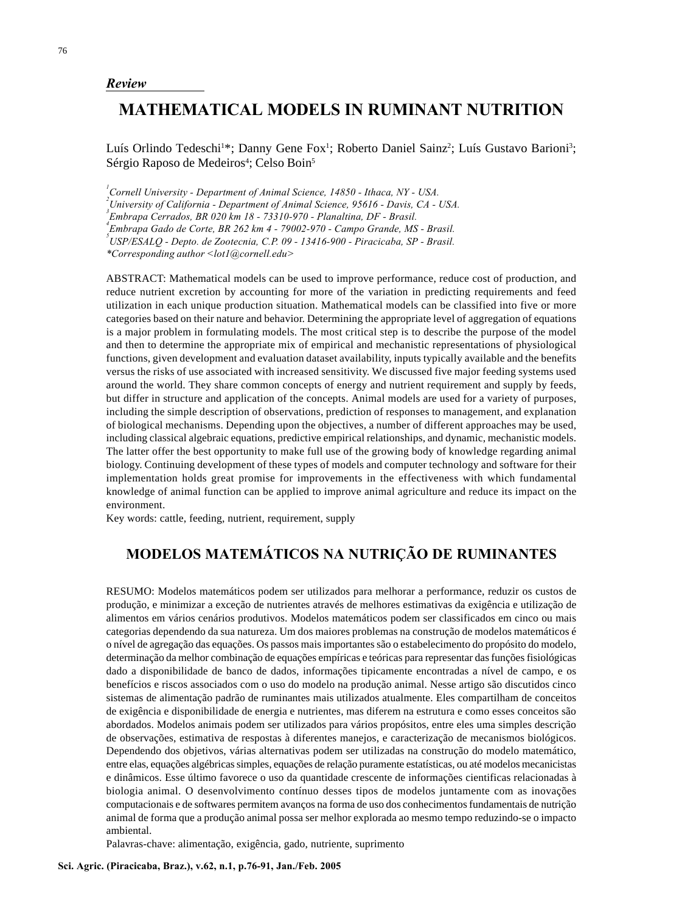## *Review*

# **MATHEMATICAL MODELS IN RUMINANT NUTRITION**

Luís Orlindo Tedeschi<sup>1\*</sup>; Danny Gene Fox<sup>1</sup>; Roberto Daniel Sainz<sup>2</sup>; Luís Gustavo Barioni<sup>3</sup>; Sérgio Raposo de Medeiros<sup>4</sup>; Celso Boin<sup>5</sup>

 *Cornell University - Department of Animal Science, 14850 - Ithaca, NY - USA. University of California - Department of Animal Science, 95616 - Davis, CA - USA. Embrapa Cerrados, BR 020 km 18 - 73310-970 - Planaltina, DF - Brasil. Embrapa Gado de Corte, BR 262 km 4 - 79002-970 - Campo Grande, MS - Brasil. USP/ESALQ - Depto. de Zootecnia, C.P. 09 - 13416-900 - Piracicaba, SP - Brasil. \*Corresponding author <lot1@cornell.edu>*

ABSTRACT: Mathematical models can be used to improve performance, reduce cost of production, and reduce nutrient excretion by accounting for more of the variation in predicting requirements and feed utilization in each unique production situation. Mathematical models can be classified into five or more categories based on their nature and behavior. Determining the appropriate level of aggregation of equations is a major problem in formulating models. The most critical step is to describe the purpose of the model and then to determine the appropriate mix of empirical and mechanistic representations of physiological functions, given development and evaluation dataset availability, inputs typically available and the benefits versus the risks of use associated with increased sensitivity. We discussed five major feeding systems used around the world. They share common concepts of energy and nutrient requirement and supply by feeds, but differ in structure and application of the concepts. Animal models are used for a variety of purposes, including the simple description of observations, prediction of responses to management, and explanation of biological mechanisms. Depending upon the objectives, a number of different approaches may be used, including classical algebraic equations, predictive empirical relationships, and dynamic, mechanistic models. The latter offer the best opportunity to make full use of the growing body of knowledge regarding animal biology. Continuing development of these types of models and computer technology and software for their implementation holds great promise for improvements in the effectiveness with which fundamental knowledge of animal function can be applied to improve animal agriculture and reduce its impact on the environment.

Key words: cattle, feeding, nutrient, requirement, supply

## **MODELOS MATEMÁTICOS NA NUTRIÇÃO DE RUMINANTES**

RESUMO: Modelos matemáticos podem ser utilizados para melhorar a performance, reduzir os custos de produção, e minimizar a exceção de nutrientes através de melhores estimativas da exigência e utilização de alimentos em vários cenários produtivos. Modelos matemáticos podem ser classificados em cinco ou mais categorias dependendo da sua natureza. Um dos maiores problemas na construção de modelos matemáticos é o nível de agregação das equações. Os passos mais importantes são o estabelecimento do propósito do modelo, determinação da melhor combinação de equações empíricas e teóricas para representar das funções fisiológicas dado a disponibilidade de banco de dados, informações tipicamente encontradas a nível de campo, e os benefícios e riscos associados com o uso do modelo na produção animal. Nesse artigo são discutidos cinco sistemas de alimentação padrão de ruminantes mais utilizados atualmente. Eles compartilham de conceitos de exigência e disponibilidade de energia e nutrientes, mas diferem na estrutura e como esses conceitos são abordados. Modelos animais podem ser utilizados para vários propósitos, entre eles uma simples descrição de observações, estimativa de respostas à diferentes manejos, e caracterização de mecanismos biológicos. Dependendo dos objetivos, várias alternativas podem ser utilizadas na construção do modelo matemático, entre elas, equações algébricas simples, equações de relação puramente estatísticas, ou até modelos mecanicistas e dinâmicos. Esse último favorece o uso da quantidade crescente de informações cientificas relacionadas à biologia animal. O desenvolvimento contínuo desses tipos de modelos juntamente com as inovações computacionais e de softwares permitem avanços na forma de uso dos conhecimentos fundamentais de nutrição animal de forma que a produção animal possa ser melhor explorada ao mesmo tempo reduzindo-se o impacto ambiental.

Palavras-chave: alimentação, exigência, gado, nutriente, suprimento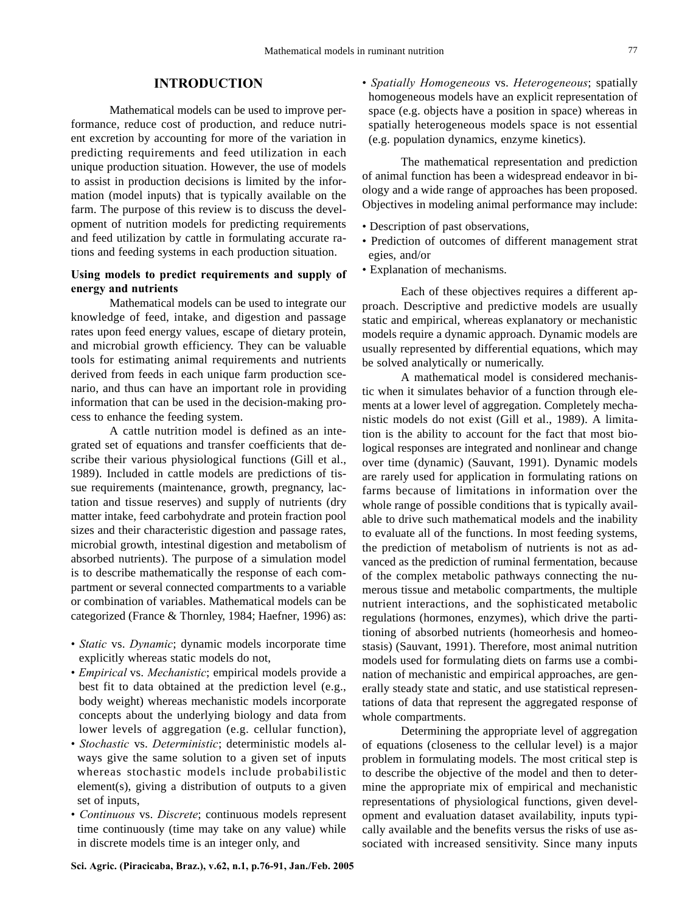### **INTRODUCTION**

Mathematical models can be used to improve performance, reduce cost of production, and reduce nutrient excretion by accounting for more of the variation in predicting requirements and feed utilization in each unique production situation. However, the use of models to assist in production decisions is limited by the information (model inputs) that is typically available on the farm. The purpose of this review is to discuss the development of nutrition models for predicting requirements and feed utilization by cattle in formulating accurate rations and feeding systems in each production situation.

## **Using models to predict requirements and supply of energy and nutrients**

Mathematical models can be used to integrate our knowledge of feed, intake, and digestion and passage rates upon feed energy values, escape of dietary protein, and microbial growth efficiency. They can be valuable tools for estimating animal requirements and nutrients derived from feeds in each unique farm production scenario, and thus can have an important role in providing information that can be used in the decision-making process to enhance the feeding system.

A cattle nutrition model is defined as an integrated set of equations and transfer coefficients that describe their various physiological functions (Gill et al., 1989). Included in cattle models are predictions of tissue requirements (maintenance, growth, pregnancy, lactation and tissue reserves) and supply of nutrients (dry matter intake, feed carbohydrate and protein fraction pool sizes and their characteristic digestion and passage rates, microbial growth, intestinal digestion and metabolism of absorbed nutrients). The purpose of a simulation model is to describe mathematically the response of each compartment or several connected compartments to a variable or combination of variables. Mathematical models can be categorized (France & Thornley, 1984; Haefner, 1996) as:

- *Static* vs. *Dynamic*; dynamic models incorporate time explicitly whereas static models do not,
- *Empirical* vs. *Mechanistic*; empirical models provide a best fit to data obtained at the prediction level (e.g., body weight) whereas mechanistic models incorporate concepts about the underlying biology and data from lower levels of aggregation (e.g. cellular function),
- *Stochastic* vs. *Deterministic*; deterministic models always give the same solution to a given set of inputs whereas stochastic models include probabilistic element(s), giving a distribution of outputs to a given set of inputs,
- *Continuous* vs. *Discrete*; continuous models represent time continuously (time may take on any value) while in discrete models time is an integer only, and

• *Spatially Homogeneous* vs. *Heterogeneous*; spatially homogeneous models have an explicit representation of space (e.g. objects have a position in space) whereas in spatially heterogeneous models space is not essential (e.g. population dynamics, enzyme kinetics).

The mathematical representation and prediction of animal function has been a widespread endeavor in biology and a wide range of approaches has been proposed. Objectives in modeling animal performance may include:

- Description of past observations,
- Prediction of outcomes of different management strat egies, and/or
- Explanation of mechanisms.

Each of these objectives requires a different approach. Descriptive and predictive models are usually static and empirical, whereas explanatory or mechanistic models require a dynamic approach. Dynamic models are usually represented by differential equations, which may be solved analytically or numerically.

A mathematical model is considered mechanistic when it simulates behavior of a function through elements at a lower level of aggregation. Completely mechanistic models do not exist (Gill et al., 1989). A limitation is the ability to account for the fact that most biological responses are integrated and nonlinear and change over time (dynamic) (Sauvant, 1991). Dynamic models are rarely used for application in formulating rations on farms because of limitations in information over the whole range of possible conditions that is typically available to drive such mathematical models and the inability to evaluate all of the functions. In most feeding systems, the prediction of metabolism of nutrients is not as advanced as the prediction of ruminal fermentation, because of the complex metabolic pathways connecting the numerous tissue and metabolic compartments, the multiple nutrient interactions, and the sophisticated metabolic regulations (hormones, enzymes), which drive the partitioning of absorbed nutrients (homeorhesis and homeostasis) (Sauvant, 1991). Therefore, most animal nutrition models used for formulating diets on farms use a combination of mechanistic and empirical approaches, are generally steady state and static, and use statistical representations of data that represent the aggregated response of whole compartments.

Determining the appropriate level of aggregation of equations (closeness to the cellular level) is a major problem in formulating models. The most critical step is to describe the objective of the model and then to determine the appropriate mix of empirical and mechanistic representations of physiological functions, given development and evaluation dataset availability, inputs typically available and the benefits versus the risks of use associated with increased sensitivity. Since many inputs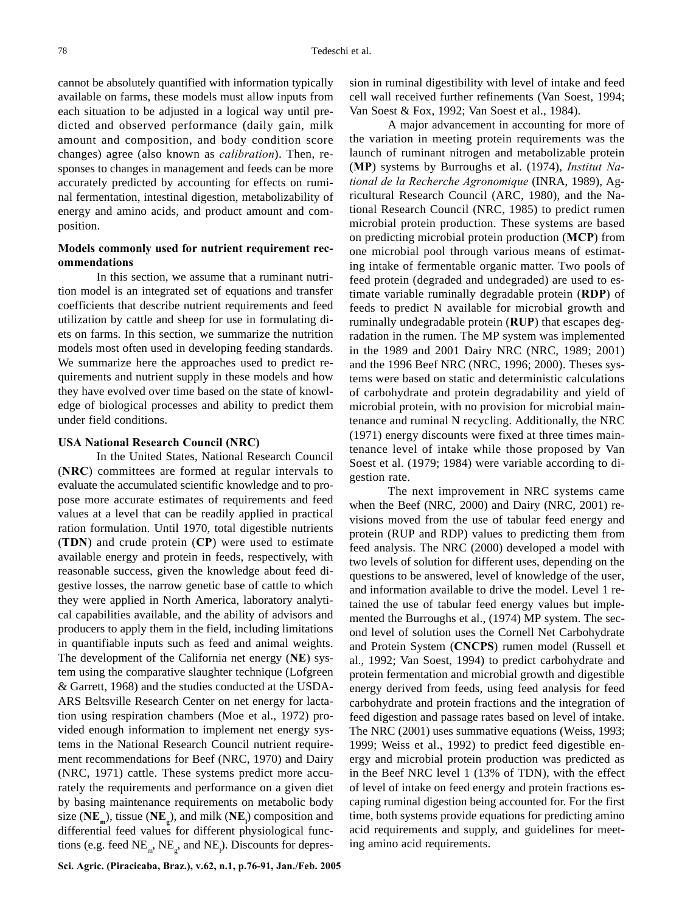cannot be absolutely quantified with information typically available on farms, these models must allow inputs from each situation to be adjusted in a logical way until predicted and observed performance (daily gain, milk amount and composition, and body condition score changes) agree (also known as *calibration*). Then, responses to changes in management and feeds can be more accurately predicted by accounting for effects on ruminal fermentation, intestinal digestion, metabolizability of energy and amino acids, and product amount and composition.

## **Models commonly used for nutrient requirement recommendations**

In this section, we assume that a ruminant nutrition model is an integrated set of equations and transfer coefficients that describe nutrient requirements and feed utilization by cattle and sheep for use in formulating diets on farms. In this section, we summarize the nutrition models most often used in developing feeding standards. We summarize here the approaches used to predict requirements and nutrient supply in these models and how they have evolved over time based on the state of knowledge of biological processes and ability to predict them under field conditions.

#### **USA National Research Council (NRC)**

In the United States, National Research Council (**NRC**) committees are formed at regular intervals to evaluate the accumulated scientific knowledge and to propose more accurate estimates of requirements and feed values at a level that can be readily applied in practical ration formulation. Until 1970, total digestible nutrients (**TDN**) and crude protein (**CP**) were used to estimate available energy and protein in feeds, respectively, with reasonable success, given the knowledge about feed digestive losses, the narrow genetic base of cattle to which they were applied in North America, laboratory analytical capabilities available, and the ability of advisors and producers to apply them in the field, including limitations in quantifiable inputs such as feed and animal weights. The development of the California net energy (**NE**) system using the comparative slaughter technique (Lofgreen & Garrett, 1968) and the studies conducted at the USDA-ARS Beltsville Research Center on net energy for lactation using respiration chambers (Moe et al., 1972) provided enough information to implement net energy systems in the National Research Council nutrient requirement recommendations for Beef (NRC, 1970) and Dairy (NRC, 1971) cattle. These systems predict more accurately the requirements and performance on a given diet by basing maintenance requirements on metabolic body size ( $NE_{m}$ ), tissue ( $NE_{g}$ ), and milk ( $NE_{l}$ ) composition and differential feed values for different physiological functions (e.g. feed  $NE_{m}$ ,  $NE_{g}$ , and  $NE_{l}$ ). Discounts for depression in ruminal digestibility with level of intake and feed cell wall received further refinements (Van Soest, 1994; Van Soest & Fox, 1992; Van Soest et al., 1984).

A major advancement in accounting for more of the variation in meeting protein requirements was the launch of ruminant nitrogen and metabolizable protein (**MP**) systems by Burroughs et al. (1974), *Institut National de la Recherche Agronomique* (INRA, 1989), Agricultural Research Council (ARC, 1980), and the National Research Council (NRC, 1985) to predict rumen microbial protein production. These systems are based on predicting microbial protein production (**MCP**) from one microbial pool through various means of estimating intake of fermentable organic matter. Two pools of feed protein (degraded and undegraded) are used to estimate variable ruminally degradable protein (**RDP**) of feeds to predict N available for microbial growth and ruminally undegradable protein (**RUP**) that escapes degradation in the rumen. The MP system was implemented in the 1989 and 2001 Dairy NRC (NRC, 1989; 2001) and the 1996 Beef NRC (NRC, 1996; 2000). Theses systems were based on static and deterministic calculations of carbohydrate and protein degradability and yield of microbial protein, with no provision for microbial maintenance and ruminal N recycling. Additionally, the NRC (1971) energy discounts were fixed at three times maintenance level of intake while those proposed by Van Soest et al. (1979; 1984) were variable according to digestion rate.

The next improvement in NRC systems came when the Beef (NRC, 2000) and Dairy (NRC, 2001) revisions moved from the use of tabular feed energy and protein (RUP and RDP) values to predicting them from feed analysis. The NRC (2000) developed a model with two levels of solution for different uses, depending on the questions to be answered, level of knowledge of the user, and information available to drive the model. Level 1 retained the use of tabular feed energy values but implemented the Burroughs et al., (1974) MP system. The second level of solution uses the Cornell Net Carbohydrate and Protein System (**CNCPS**) rumen model (Russell et al., 1992; Van Soest, 1994) to predict carbohydrate and protein fermentation and microbial growth and digestible energy derived from feeds, using feed analysis for feed carbohydrate and protein fractions and the integration of feed digestion and passage rates based on level of intake. The NRC (2001) uses summative equations (Weiss, 1993; 1999; Weiss et al., 1992) to predict feed digestible energy and microbial protein production was predicted as in the Beef NRC level 1 (13% of TDN), with the effect of level of intake on feed energy and protein fractions escaping ruminal digestion being accounted for. For the first time, both systems provide equations for predicting amino acid requirements and supply, and guidelines for meeting amino acid requirements.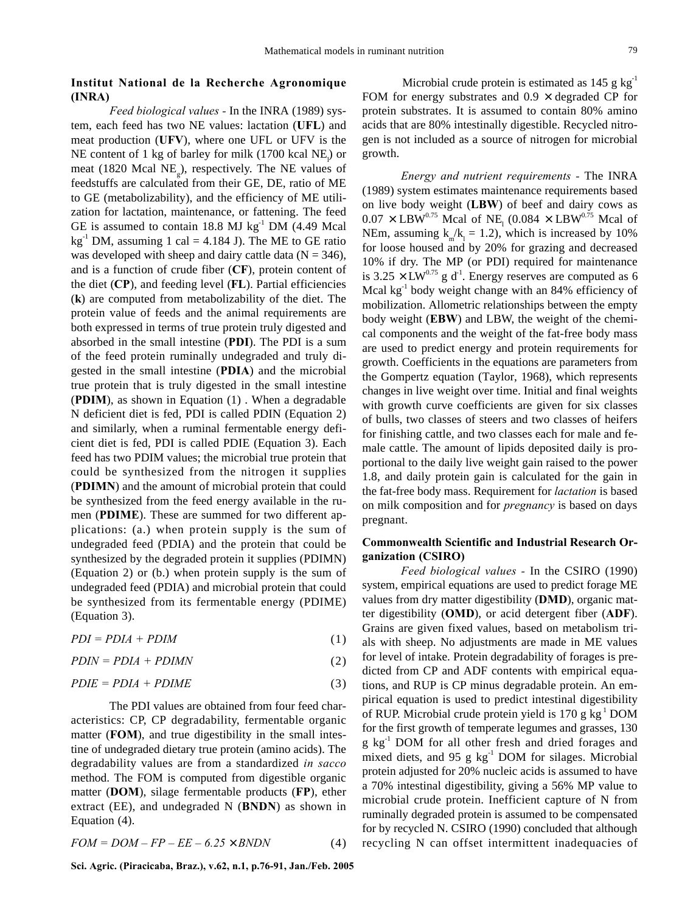## **Institut National de la Recherche Agronomique (INRA)**

*Feed biological values -* In the INRA (1989) system, each feed has two NE values: lactation (**UFL**) and meat production (**UFV**), where one UFL or UFV is the NE content of 1 kg of barley for milk  $(1700 \text{ kcal} \text{ NE}_1)$  or meat (1820 Mcal  $NE_{g}$ ), respectively. The NE values of feedstuffs are calculated from their GE, DE, ratio of ME to GE (metabolizability), and the efficiency of ME utilization for lactation, maintenance, or fattening. The feed GE is assumed to contain  $18.8 \text{ MJ kg}^{-1} \text{ DM } (4.49 \text{ Mcal})$ kg<sup>-1</sup> DM, assuming 1 cal = 4.184 J). The ME to GE ratio was developed with sheep and dairy cattle data ( $N = 346$ ), and is a function of crude fiber (**CF**), protein content of the diet (**CP**), and feeding level (**FL**). Partial efficiencies (**k**) are computed from metabolizability of the diet. The protein value of feeds and the animal requirements are both expressed in terms of true protein truly digested and absorbed in the small intestine (**PDI**). The PDI is a sum of the feed protein ruminally undegraded and truly digested in the small intestine (**PDIA**) and the microbial true protein that is truly digested in the small intestine (**PDIM**), as shown in Equation (1) . When a degradable N deficient diet is fed, PDI is called PDIN (Equation 2) and similarly, when a ruminal fermentable energy deficient diet is fed, PDI is called PDIE (Equation 3). Each feed has two PDIM values; the microbial true protein that could be synthesized from the nitrogen it supplies (**PDIMN**) and the amount of microbial protein that could be synthesized from the feed energy available in the rumen (**PDIME**). These are summed for two different applications: (a.) when protein supply is the sum of undegraded feed (PDIA) and the protein that could be synthesized by the degraded protein it supplies (PDIMN) (Equation 2) or (b.) when protein supply is the sum of undegraded feed (PDIA) and microbial protein that could be synthesized from its fermentable energy (PDIME) (Equation 3).

 $PDI = PDIA + PDIM$  (1)

 $PDIN = PDIA + PDIMN$  (2)

$$
PDIE = PDIA + PDIME \tag{3}
$$

The PDI values are obtained from four feed characteristics: CP, CP degradability, fermentable organic matter (**FOM**), and true digestibility in the small intestine of undegraded dietary true protein (amino acids). The degradability values are from a standardized *in sacco* method. The FOM is computed from digestible organic matter (**DOM**), silage fermentable products (**FP**), ether extract (EE), and undegraded N (**BNDN**) as shown in Equation (4).

$$
FOM = DOM - FP - EE - 6.25 \quad BNDN \tag{4}
$$

**Sci. Agric. (Piracicaba, Braz.), v.62, n.1, p.76-91, Jan./Feb. 2005**

Microbial crude protein is estimated as  $145 \text{ g kg}^{-1}$ FOM for energy substrates and  $0.9 \times$  degraded CP for protein substrates. It is assumed to contain 80% amino acids that are 80% intestinally digestible. Recycled nitrogen is not included as a source of nitrogen for microbial growth.

*Energy and nutrient requirements -* The INRA (1989) system estimates maintenance requirements based on live body weight (**LBW**) of beef and dairy cows as  $0.07 \times \text{LBW}^{0.75}$  Mcal of NE<sub>1</sub> (0.084  $\times$  LBW<sup>0.75</sup> Mcal of NEm, assuming  $k_m/k_l = 1.2$ ), which is increased by 10% for loose housed and by 20% for grazing and decreased 10% if dry. The MP (or PDI) required for maintenance is  $3.25 \times LW^{0.75}$  g d<sup>-1</sup>. Energy reserves are computed as 6 Mcal kg $^{-1}$  body weight change with an 84% efficiency of mobilization. Allometric relationships between the empty body weight (**EBW**) and LBW, the weight of the chemical components and the weight of the fat-free body mass are used to predict energy and protein requirements for growth. Coefficients in the equations are parameters from the Gompertz equation (Taylor, 1968), which represents changes in live weight over time. Initial and final weights with growth curve coefficients are given for six classes of bulls, two classes of steers and two classes of heifers for finishing cattle, and two classes each for male and female cattle. The amount of lipids deposited daily is proportional to the daily live weight gain raised to the power 1.8, and daily protein gain is calculated for the gain in the fat-free body mass. Requirement for *lactation* is based on milk composition and for *pregnancy* is based on days pregnant.

#### **Commonwealth Scientific and Industrial Research Organization (CSIRO)**

*Feed biological values -* In the CSIRO (1990) system, empirical equations are used to predict forage ME values from dry matter digestibility (**DMD**), organic matter digestibility (**OMD**), or acid detergent fiber (**ADF**). Grains are given fixed values, based on metabolism trials with sheep. No adjustments are made in ME values for level of intake. Protein degradability of forages is predicted from CP and ADF contents with empirical equations, and RUP is CP minus degradable protein. An empirical equation is used to predict intestinal digestibility of RUP. Microbial crude protein yield is  $170 g kg<sup>1</sup>$  DOM for the first growth of temperate legumes and grasses, 130 g kg<sup>-1</sup> DOM for all other fresh and dried forages and mixed diets, and 95 g  $kg^{-1}$  DOM for silages. Microbial protein adjusted for 20% nucleic acids is assumed to have a 70% intestinal digestibility, giving a 56% MP value to microbial crude protein. Inefficient capture of N from ruminally degraded protein is assumed to be compensated for by recycled N. CSIRO (1990) concluded that although recycling N can offset intermittent inadequacies of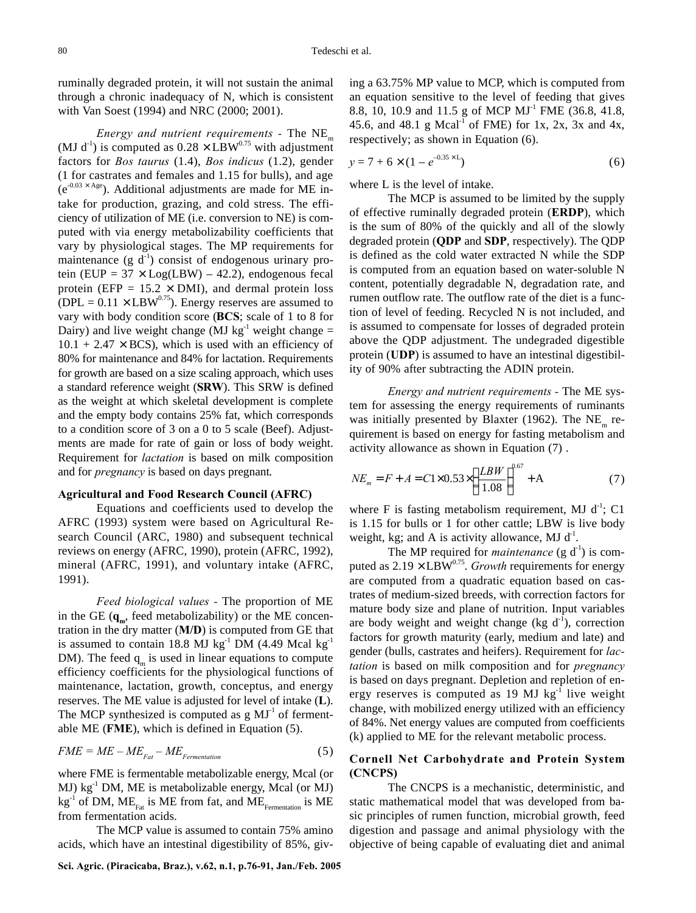ruminally degraded protein, it will not sustain the animal through a chronic inadequacy of N, which is consistent with Van Soest (1994) and NRC (2000; 2001).

*Energy and nutrient requirements - The NE*<sub>m</sub> (MJ d<sup>-1</sup>) is computed as  $0.28 \times \text{LBW}^{0.75}$  with adjustment factors for *Bos taurus* (1.4), *Bos indicus* (1.2), gender (1 for castrates and females and 1.15 for bulls), and age  $(e^{-0.03 \times \text{Age}})$ . Additional adjustments are made for ME intake for production, grazing, and cold stress. The efficiency of utilization of ME (i.e. conversion to NE) is computed with via energy metabolizability coefficients that vary by physiological stages. The MP requirements for maintenance  $(g\ d<sup>-1</sup>)$  consist of endogenous urinary protein (EUP =  $37 \times Log(LBW) - 42.2$ ), endogenous fecal protein (EFP =  $15.2 \times$  DMI), and dermal protein loss  $(DPL = 0.11 \times LBW<sup>0.75</sup>)$ . Energy reserves are assumed to vary with body condition score (**BCS**; scale of 1 to 8 for Dairy) and live weight change (MJ kg<sup>-1</sup> weight change =  $10.1 + 2.47 \times BCS$ , which is used with an efficiency of 80% for maintenance and 84% for lactation. Requirements for growth are based on a size scaling approach, which uses a standard reference weight (**SRW**). This SRW is defined as the weight at which skeletal development is complete and the empty body contains 25% fat, which corresponds to a condition score of 3 on a 0 to 5 scale (Beef). Adjustments are made for rate of gain or loss of body weight. Requirement for *lactation* is based on milk composition and for *pregnancy* is based on days pregnant.

#### **Agricultural and Food Research Council (AFRC)**

Equations and coefficients used to develop the AFRC (1993) system were based on Agricultural Research Council (ARC, 1980) and subsequent technical reviews on energy (AFRC, 1990), protein (AFRC, 1992), mineral (AFRC, 1991), and voluntary intake (AFRC, 1991).

*Feed biological values -* The proportion of ME in the GE (**q<sup>m</sup>** , feed metabolizability) or the ME concentration in the dry matter (**M/D**) is computed from GE that is assumed to contain 18.8 MJ kg<sup>-1</sup> DM (4.49 Mcal kg<sup>-1</sup>) DM). The feed  $q_m$  is used in linear equations to compute efficiency coefficients for the physiological functions of maintenance, lactation, growth, conceptus, and energy reserves. The ME value is adjusted for level of intake (**L**). The MCP synthesized is computed as  $g$   $MJ<sup>-1</sup>$  of fermentable ME (**FME**), which is defined in Equation (5).

$$
FME = ME - ME_{\text{Fat}} - ME_{\text{Fermentation}}
$$
\n<sup>(5)</sup>

where FME is fermentable metabolizable energy, Mcal (or  $MJ)$  kg<sup>-1</sup> DM, ME is metabolizable energy, Mcal (or MJ) kg<sup>-1</sup> of DM, ME<sub>Fat</sub> is ME from fat, and ME<sub>Fermentation</sub> is ME from fermentation acids.

The MCP value is assumed to contain 75% amino acids, which have an intestinal digestibility of 85%, giving a 63.75% MP value to MCP, which is computed from an equation sensitive to the level of feeding that gives 8.8, 10, 10.9 and 11.5 g of MCP MJ<sup>-1</sup> FME (36.8, 41.8, 45.6, and 48.1 g Mcal<sup>-1</sup> of FME) for 1x, 2x, 3x and 4x, respectively; as shown in Equation (6).

$$
y = 7 + 6 \times (1 - e^{-0.35 \times L})
$$
 (6)

where L is the level of intake.

The MCP is assumed to be limited by the supply of effective ruminally degraded protein (**ERDP**), which is the sum of 80% of the quickly and all of the slowly degraded protein (**QDP** and **SDP**, respectively). The QDP is defined as the cold water extracted N while the SDP is computed from an equation based on water-soluble N content, potentially degradable N, degradation rate, and rumen outflow rate. The outflow rate of the diet is a function of level of feeding. Recycled N is not included, and is assumed to compensate for losses of degraded protein above the QDP adjustment. The undegraded digestible protein (**UDP**) is assumed to have an intestinal digestibility of 90% after subtracting the ADIN protein.

*Energy and nutrient requirements -* The ME system for assessing the energy requirements of ruminants was initially presented by Blaxter (1962). The  $NE<sub>m</sub>$  requirement is based on energy for fasting metabolism and activity allowance as shown in Equation (7) .

$$
NE_m = F + A = C1 \times 0.53 \times \left(\frac{LBW}{1.08}\right)^{0.67} + A \tag{7}
$$

where F is fasting metabolism requirement, MJ  $d^1$ ; C1 is 1.15 for bulls or 1 for other cattle; LBW is live body weight, kg; and A is activity allowance, MJ  $d^1$ .

The MP required for *maintenance* (g  $d^{-1}$ ) is computed as  $2.19 \times \text{LBW}^{0.75}$ . *Growth* requirements for energy are computed from a quadratic equation based on castrates of medium-sized breeds, with correction factors for mature body size and plane of nutrition. Input variables are body weight and weight change ( $kg d^{-1}$ ), correction factors for growth maturity (early, medium and late) and gender (bulls, castrates and heifers). Requirement for *lactation* is based on milk composition and for *pregnancy* is based on days pregnant. Depletion and repletion of energy reserves is computed as 19 MJ  $kg^{-1}$  live weight change, with mobilized energy utilized with an efficiency of 84%. Net energy values are computed from coefficients (k) applied to ME for the relevant metabolic process.

## **Cornell Net Carbohydrate and Protein System (CNCPS)**

The CNCPS is a mechanistic, deterministic, and static mathematical model that was developed from basic principles of rumen function, microbial growth, feed digestion and passage and animal physiology with the objective of being capable of evaluating diet and animal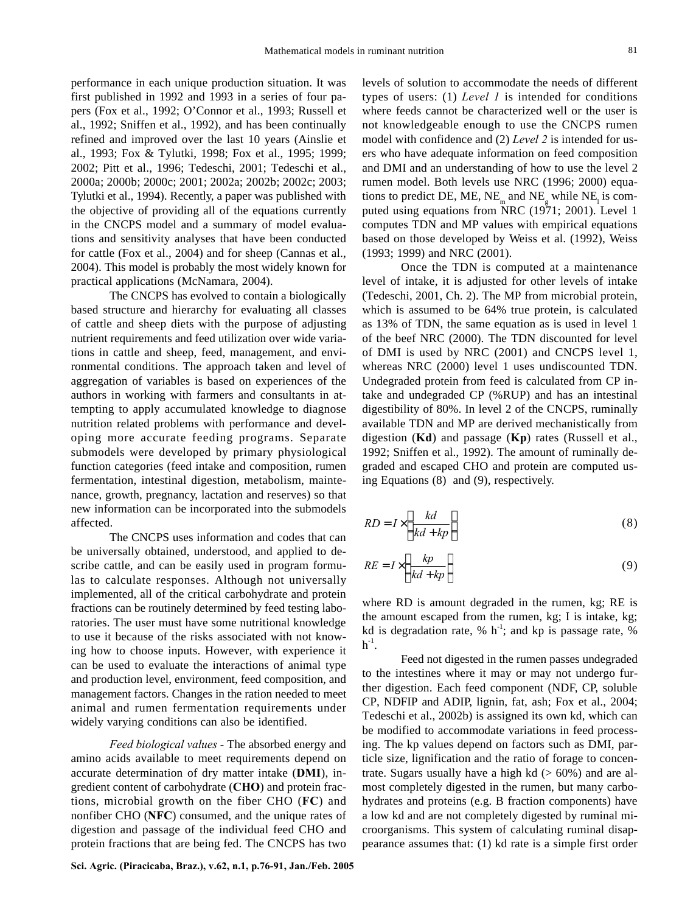performance in each unique production situation. It was first published in 1992 and 1993 in a series of four papers (Fox et al., 1992; O'Connor et al., 1993; Russell et al., 1992; Sniffen et al., 1992), and has been continually refined and improved over the last 10 years (Ainslie et al., 1993; Fox & Tylutki, 1998; Fox et al., 1995; 1999; 2002; Pitt et al., 1996; Tedeschi, 2001; Tedeschi et al., 2000a; 2000b; 2000c; 2001; 2002a; 2002b; 2002c; 2003; Tylutki et al., 1994). Recently, a paper was published with the objective of providing all of the equations currently in the CNCPS model and a summary of model evaluations and sensitivity analyses that have been conducted for cattle (Fox et al., 2004) and for sheep (Cannas et al., 2004). This model is probably the most widely known for practical applications (McNamara, 2004).

The CNCPS has evolved to contain a biologically based structure and hierarchy for evaluating all classes of cattle and sheep diets with the purpose of adjusting nutrient requirements and feed utilization over wide variations in cattle and sheep, feed, management, and environmental conditions. The approach taken and level of aggregation of variables is based on experiences of the authors in working with farmers and consultants in attempting to apply accumulated knowledge to diagnose nutrition related problems with performance and developing more accurate feeding programs. Separate submodels were developed by primary physiological function categories (feed intake and composition, rumen fermentation, intestinal digestion, metabolism, maintenance, growth, pregnancy, lactation and reserves) so that new information can be incorporated into the submodels affected.

The CNCPS uses information and codes that can be universally obtained, understood, and applied to describe cattle, and can be easily used in program formulas to calculate responses. Although not universally implemented, all of the critical carbohydrate and protein fractions can be routinely determined by feed testing laboratories. The user must have some nutritional knowledge to use it because of the risks associated with not knowing how to choose inputs. However, with experience it can be used to evaluate the interactions of animal type and production level, environment, feed composition, and management factors. Changes in the ration needed to meet animal and rumen fermentation requirements under widely varying conditions can also be identified.

*Feed biological values -* The absorbed energy and amino acids available to meet requirements depend on accurate determination of dry matter intake (**DMI**), ingredient content of carbohydrate (**CHO**) and protein fractions, microbial growth on the fiber CHO (**FC**) and nonfiber CHO (**NFC**) consumed, and the unique rates of digestion and passage of the individual feed CHO and protein fractions that are being fed. The CNCPS has two levels of solution to accommodate the needs of different types of users: (1) *Level 1* is intended for conditions where feeds cannot be characterized well or the user is not knowledgeable enough to use the CNCPS rumen model with confidence and (2) *Level 2* is intended for users who have adequate information on feed composition and DMI and an understanding of how to use the level 2 rumen model. Both levels use NRC (1996; 2000) equations to predict DE, ME, NE<sub>m</sub> and NE<sub>g</sub> while NE<sub>1</sub> is computed using equations from NRC (1971; 2001). Level 1 computes TDN and MP values with empirical equations based on those developed by Weiss et al. (1992), Weiss (1993; 1999) and NRC (2001).

Once the TDN is computed at a maintenance level of intake, it is adjusted for other levels of intake (Tedeschi, 2001, Ch. 2). The MP from microbial protein, which is assumed to be 64% true protein, is calculated as 13% of TDN, the same equation as is used in level 1 of the beef NRC (2000). The TDN discounted for level of DMI is used by NRC (2001) and CNCPS level 1, whereas NRC (2000) level 1 uses undiscounted TDN. Undegraded protein from feed is calculated from CP intake and undegraded CP (%RUP) and has an intestinal digestibility of 80%. In level 2 of the CNCPS, ruminally available TDN and MP are derived mechanistically from digestion (**Kd**) and passage (**Kp**) rates (Russell et al., 1992; Sniffen et al., 1992). The amount of ruminally degraded and escaped CHO and protein are computed using Equations (8) and (9), respectively.

$$
RD = I \times \left(\frac{kd}{kd + kp}\right) \tag{8}
$$

$$
RE = I \times \left(\frac{kp}{kd + kp}\right) \tag{9}
$$

where RD is amount degraded in the rumen, kg; RE is the amount escaped from the rumen, kg; I is intake, kg; kd is degradation rate,  $% h^{-1}$ ; and kp is passage rate,  $% h^{-1}$  $h^{-1}$ .

Feed not digested in the rumen passes undegraded to the intestines where it may or may not undergo further digestion. Each feed component (NDF, CP, soluble CP, NDFIP and ADIP, lignin, fat, ash; Fox et al., 2004; Tedeschi et al., 2002b) is assigned its own kd, which can be modified to accommodate variations in feed processing. The kp values depend on factors such as DMI, particle size, lignification and the ratio of forage to concentrate. Sugars usually have a high  $kd$  ( $> 60\%$ ) and are almost completely digested in the rumen, but many carbohydrates and proteins (e.g. B fraction components) have a low kd and are not completely digested by ruminal microorganisms. This system of calculating ruminal disappearance assumes that: (1) kd rate is a simple first order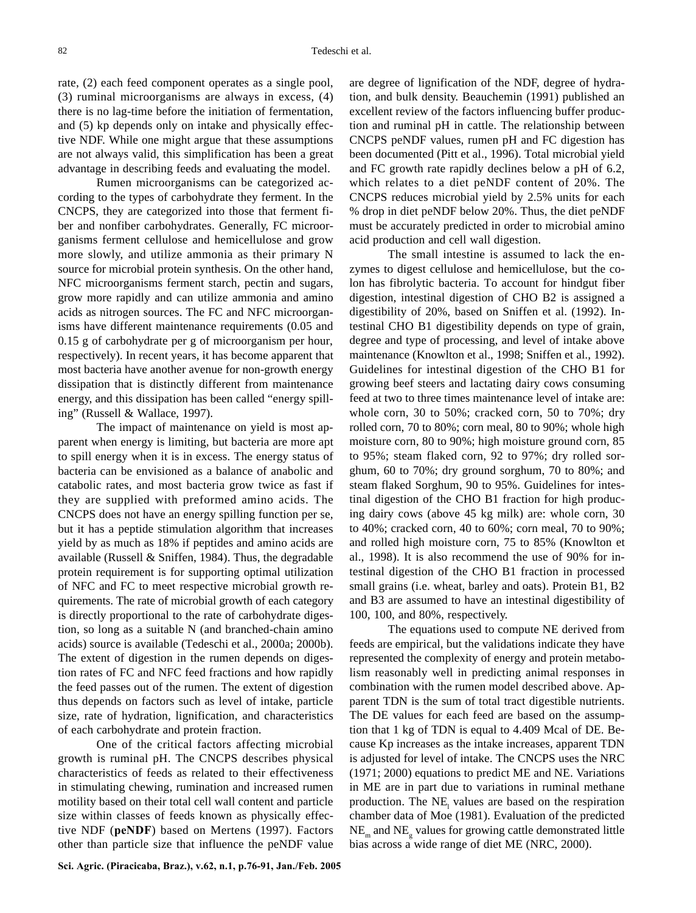rate, (2) each feed component operates as a single pool, (3) ruminal microorganisms are always in excess, (4) there is no lag-time before the initiation of fermentation, and (5) kp depends only on intake and physically effective NDF. While one might argue that these assumptions are not always valid, this simplification has been a great advantage in describing feeds and evaluating the model.

Rumen microorganisms can be categorized according to the types of carbohydrate they ferment. In the CNCPS, they are categorized into those that ferment fiber and nonfiber carbohydrates. Generally, FC microorganisms ferment cellulose and hemicellulose and grow more slowly, and utilize ammonia as their primary N source for microbial protein synthesis. On the other hand, NFC microorganisms ferment starch, pectin and sugars, grow more rapidly and can utilize ammonia and amino acids as nitrogen sources. The FC and NFC microorganisms have different maintenance requirements (0.05 and 0.15 g of carbohydrate per g of microorganism per hour, respectively). In recent years, it has become apparent that most bacteria have another avenue for non-growth energy dissipation that is distinctly different from maintenance energy, and this dissipation has been called "energy spilling" (Russell & Wallace, 1997).

The impact of maintenance on yield is most apparent when energy is limiting, but bacteria are more apt to spill energy when it is in excess. The energy status of bacteria can be envisioned as a balance of anabolic and catabolic rates, and most bacteria grow twice as fast if they are supplied with preformed amino acids. The CNCPS does not have an energy spilling function per se, but it has a peptide stimulation algorithm that increases yield by as much as 18% if peptides and amino acids are available (Russell & Sniffen, 1984). Thus, the degradable protein requirement is for supporting optimal utilization of NFC and FC to meet respective microbial growth requirements. The rate of microbial growth of each category is directly proportional to the rate of carbohydrate digestion, so long as a suitable N (and branched-chain amino acids) source is available (Tedeschi et al., 2000a; 2000b). The extent of digestion in the rumen depends on digestion rates of FC and NFC feed fractions and how rapidly the feed passes out of the rumen. The extent of digestion thus depends on factors such as level of intake, particle size, rate of hydration, lignification, and characteristics of each carbohydrate and protein fraction.

One of the critical factors affecting microbial growth is ruminal pH. The CNCPS describes physical characteristics of feeds as related to their effectiveness in stimulating chewing, rumination and increased rumen motility based on their total cell wall content and particle size within classes of feeds known as physically effective NDF (**peNDF**) based on Mertens (1997). Factors other than particle size that influence the peNDF value are degree of lignification of the NDF, degree of hydration, and bulk density. Beauchemin (1991) published an excellent review of the factors influencing buffer production and ruminal pH in cattle. The relationship between CNCPS peNDF values, rumen pH and FC digestion has been documented (Pitt et al., 1996). Total microbial yield and FC growth rate rapidly declines below a pH of 6.2, which relates to a diet peNDF content of 20%. The CNCPS reduces microbial yield by 2.5% units for each % drop in diet peNDF below 20%. Thus, the diet peNDF must be accurately predicted in order to microbial amino acid production and cell wall digestion.

The small intestine is assumed to lack the enzymes to digest cellulose and hemicellulose, but the colon has fibrolytic bacteria. To account for hindgut fiber digestion, intestinal digestion of CHO B2 is assigned a digestibility of 20%, based on Sniffen et al. (1992). Intestinal CHO B1 digestibility depends on type of grain, degree and type of processing, and level of intake above maintenance (Knowlton et al., 1998; Sniffen et al., 1992). Guidelines for intestinal digestion of the CHO B1 for growing beef steers and lactating dairy cows consuming feed at two to three times maintenance level of intake are: whole corn, 30 to 50%; cracked corn, 50 to 70%; dry rolled corn, 70 to 80%; corn meal, 80 to 90%; whole high moisture corn, 80 to 90%; high moisture ground corn, 85 to 95%; steam flaked corn, 92 to 97%; dry rolled sorghum, 60 to 70%; dry ground sorghum, 70 to 80%; and steam flaked Sorghum, 90 to 95%. Guidelines for intestinal digestion of the CHO B1 fraction for high producing dairy cows (above 45 kg milk) are: whole corn, 30 to 40%; cracked corn, 40 to 60%; corn meal, 70 to 90%; and rolled high moisture corn, 75 to 85% (Knowlton et al., 1998). It is also recommend the use of 90% for intestinal digestion of the CHO B1 fraction in processed small grains (i.e. wheat, barley and oats). Protein B1, B2 and B3 are assumed to have an intestinal digestibility of 100, 100, and 80%, respectively.

The equations used to compute NE derived from feeds are empirical, but the validations indicate they have represented the complexity of energy and protein metabolism reasonably well in predicting animal responses in combination with the rumen model described above. Apparent TDN is the sum of total tract digestible nutrients. The DE values for each feed are based on the assumption that 1 kg of TDN is equal to 4.409 Mcal of DE. Because Kp increases as the intake increases, apparent TDN is adjusted for level of intake. The CNCPS uses the NRC (1971; 2000) equations to predict ME and NE. Variations in ME are in part due to variations in ruminal methane production. The  $NE<sub>1</sub>$  values are based on the respiration chamber data of Moe (1981). Evaluation of the predicted  $NE_{m}$  and  $NE_{g}$  values for growing cattle demonstrated little bias across a wide range of diet ME (NRC, 2000).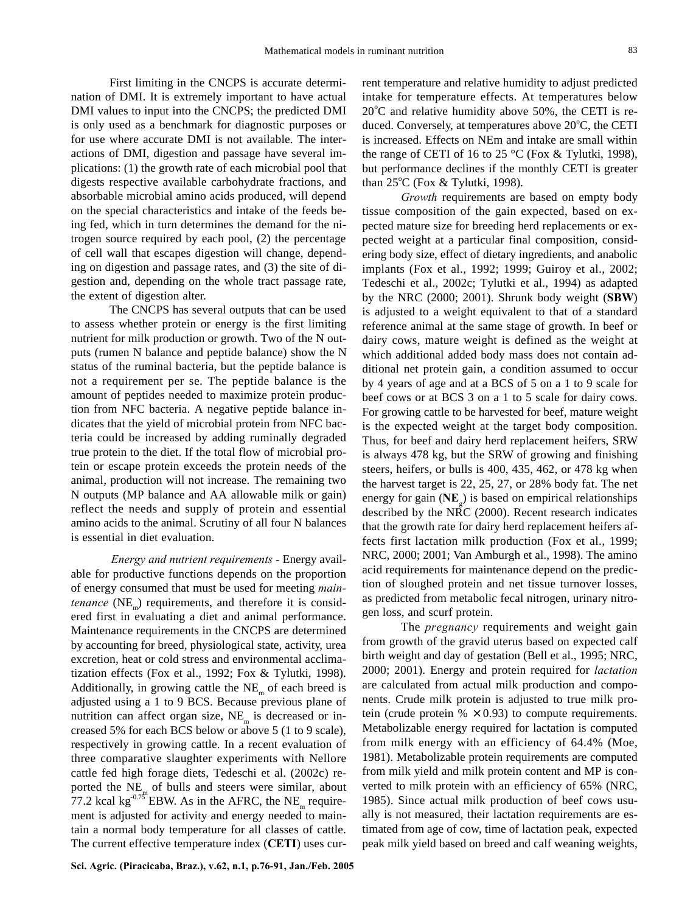First limiting in the CNCPS is accurate determination of DMI. It is extremely important to have actual DMI values to input into the CNCPS; the predicted DMI is only used as a benchmark for diagnostic purposes or for use where accurate DMI is not available. The interactions of DMI, digestion and passage have several implications: (1) the growth rate of each microbial pool that digests respective available carbohydrate fractions, and absorbable microbial amino acids produced, will depend on the special characteristics and intake of the feeds being fed, which in turn determines the demand for the nitrogen source required by each pool, (2) the percentage of cell wall that escapes digestion will change, depending on digestion and passage rates, and (3) the site of digestion and, depending on the whole tract passage rate, the extent of digestion alter.

The CNCPS has several outputs that can be used to assess whether protein or energy is the first limiting nutrient for milk production or growth. Two of the N outputs (rumen N balance and peptide balance) show the N status of the ruminal bacteria, but the peptide balance is not a requirement per se. The peptide balance is the amount of peptides needed to maximize protein production from NFC bacteria. A negative peptide balance indicates that the yield of microbial protein from NFC bacteria could be increased by adding ruminally degraded true protein to the diet. If the total flow of microbial protein or escape protein exceeds the protein needs of the animal, production will not increase. The remaining two N outputs (MP balance and AA allowable milk or gain) reflect the needs and supply of protein and essential amino acids to the animal. Scrutiny of all four N balances is essential in diet evaluation.

*Energy and nutrient requirements -* Energy available for productive functions depends on the proportion of energy consumed that must be used for meeting *maintenance* (NE<sub>m</sub>) requirements, and therefore it is considered first in evaluating a diet and animal performance. Maintenance requirements in the CNCPS are determined by accounting for breed, physiological state, activity, urea excretion, heat or cold stress and environmental acclimatization effects (Fox et al., 1992; Fox & Tylutki, 1998). Additionally, in growing cattle the  $NE_{m}$  of each breed is adjusted using a 1 to 9 BCS. Because previous plane of nutrition can affect organ size,  $NE_{m}$  is decreased or increased 5% for each BCS below or above 5 (1 to 9 scale), respectively in growing cattle. In a recent evaluation of three comparative slaughter experiments with Nellore cattle fed high forage diets, Tedeschi et al. (2002c) reported the  $N_{\text{em}}^{\text{F}}$  of bulls and steers were similar, about 77.2 kcal  $\text{kg}^{\cdot 0.75}$  EBW. As in the AFRC, the NE<sub>m</sub> requirement is adjusted for activity and energy needed to maintain a normal body temperature for all classes of cattle. The current effective temperature index (**CETI**) uses current temperature and relative humidity to adjust predicted intake for temperature effects. At temperatures below  $20^{\circ}$ C and relative humidity above 50%, the CETI is reduced. Conversely, at temperatures above  $20^{\circ}$ C, the CETI is increased. Effects on NEm and intake are small within the range of CETI of 16 to 25 °C (Fox & Tylutki, 1998), but performance declines if the monthly CETI is greater than  $25^{\circ}$ C (Fox & Tylutki, 1998).

*Growth* requirements are based on empty body tissue composition of the gain expected, based on expected mature size for breeding herd replacements or expected weight at a particular final composition, considering body size, effect of dietary ingredients, and anabolic implants (Fox et al., 1992; 1999; Guiroy et al., 2002; Tedeschi et al., 2002c; Tylutki et al., 1994) as adapted by the NRC (2000; 2001). Shrunk body weight (**SBW**) is adjusted to a weight equivalent to that of a standard reference animal at the same stage of growth. In beef or dairy cows, mature weight is defined as the weight at which additional added body mass does not contain additional net protein gain, a condition assumed to occur by 4 years of age and at a BCS of 5 on a 1 to 9 scale for beef cows or at BCS 3 on a 1 to 5 scale for dairy cows. For growing cattle to be harvested for beef, mature weight is the expected weight at the target body composition. Thus, for beef and dairy herd replacement heifers, SRW is always 478 kg, but the SRW of growing and finishing steers, heifers, or bulls is 400, 435, 462, or 478 kg when the harvest target is 22, 25, 27, or 28% body fat. The net energy for gain (**NE**<sup>g</sup> ) is based on empirical relationships described by the NRC (2000). Recent research indicates that the growth rate for dairy herd replacement heifers affects first lactation milk production (Fox et al., 1999; NRC, 2000; 2001; Van Amburgh et al., 1998). The amino acid requirements for maintenance depend on the prediction of sloughed protein and net tissue turnover losses, as predicted from metabolic fecal nitrogen, urinary nitrogen loss, and scurf protein.

The *pregnancy* requirements and weight gain from growth of the gravid uterus based on expected calf birth weight and day of gestation (Bell et al., 1995; NRC, 2000; 2001). Energy and protein required for *lactation* are calculated from actual milk production and components. Crude milk protein is adjusted to true milk protein (crude protein  $% \times 0.93$ ) to compute requirements. Metabolizable energy required for lactation is computed from milk energy with an efficiency of 64.4% (Moe, 1981). Metabolizable protein requirements are computed from milk yield and milk protein content and MP is converted to milk protein with an efficiency of 65% (NRC, 1985). Since actual milk production of beef cows usually is not measured, their lactation requirements are estimated from age of cow, time of lactation peak, expected peak milk yield based on breed and calf weaning weights,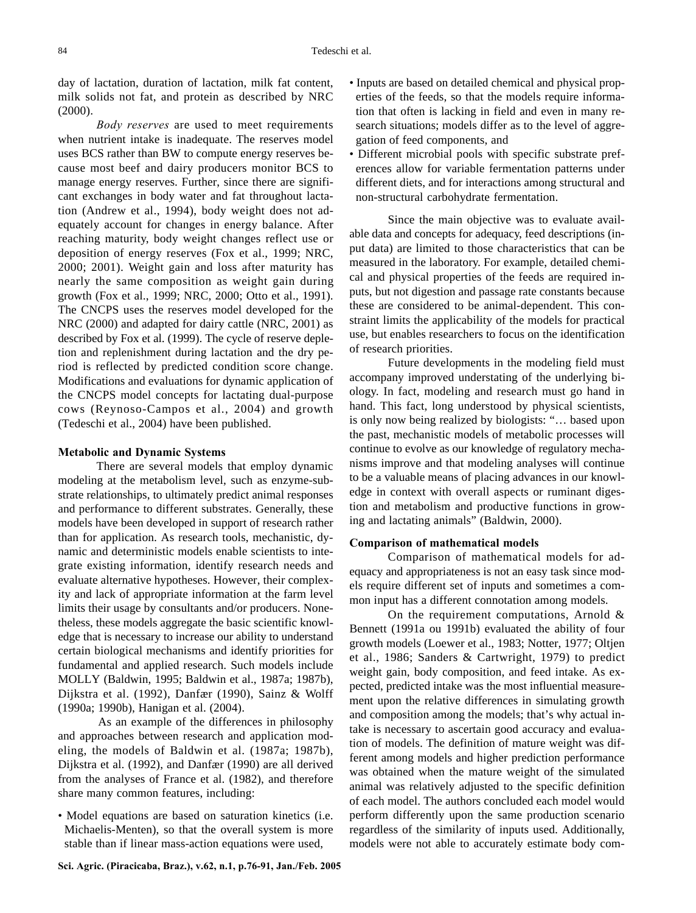day of lactation, duration of lactation, milk fat content, milk solids not fat, and protein as described by NRC (2000).

*Body reserves* are used to meet requirements when nutrient intake is inadequate. The reserves model uses BCS rather than BW to compute energy reserves because most beef and dairy producers monitor BCS to manage energy reserves. Further, since there are significant exchanges in body water and fat throughout lactation (Andrew et al., 1994), body weight does not adequately account for changes in energy balance. After reaching maturity, body weight changes reflect use or deposition of energy reserves (Fox et al., 1999; NRC, 2000; 2001). Weight gain and loss after maturity has nearly the same composition as weight gain during growth (Fox et al., 1999; NRC, 2000; Otto et al., 1991). The CNCPS uses the reserves model developed for the NRC (2000) and adapted for dairy cattle (NRC, 2001) as described by Fox et al. (1999). The cycle of reserve depletion and replenishment during lactation and the dry period is reflected by predicted condition score change. Modifications and evaluations for dynamic application of the CNCPS model concepts for lactating dual-purpose cows (Reynoso-Campos et al., 2004) and growth (Tedeschi et al., 2004) have been published.

#### **Metabolic and Dynamic Systems**

There are several models that employ dynamic modeling at the metabolism level, such as enzyme-substrate relationships, to ultimately predict animal responses and performance to different substrates. Generally, these models have been developed in support of research rather than for application. As research tools, mechanistic, dynamic and deterministic models enable scientists to integrate existing information, identify research needs and evaluate alternative hypotheses. However, their complexity and lack of appropriate information at the farm level limits their usage by consultants and/or producers. Nonetheless, these models aggregate the basic scientific knowledge that is necessary to increase our ability to understand certain biological mechanisms and identify priorities for fundamental and applied research. Such models include MOLLY (Baldwin, 1995; Baldwin et al., 1987a; 1987b), Dijkstra et al. (1992), Danfær (1990), Sainz & Wolff (1990a; 1990b), Hanigan et al. (2004).

As an example of the differences in philosophy and approaches between research and application modeling, the models of Baldwin et al. (1987a; 1987b), Dijkstra et al. (1992), and Danfær (1990) are all derived from the analyses of France et al. (1982), and therefore share many common features, including:

• Model equations are based on saturation kinetics (i.e. Michaelis-Menten), so that the overall system is more stable than if linear mass-action equations were used,

- Inputs are based on detailed chemical and physical properties of the feeds, so that the models require information that often is lacking in field and even in many research situations; models differ as to the level of aggregation of feed components, and
- Different microbial pools with specific substrate preferences allow for variable fermentation patterns under different diets, and for interactions among structural and non-structural carbohydrate fermentation.

Since the main objective was to evaluate available data and concepts for adequacy, feed descriptions (input data) are limited to those characteristics that can be measured in the laboratory. For example, detailed chemical and physical properties of the feeds are required inputs, but not digestion and passage rate constants because these are considered to be animal-dependent. This constraint limits the applicability of the models for practical use, but enables researchers to focus on the identification of research priorities.

Future developments in the modeling field must accompany improved understating of the underlying biology. In fact, modeling and research must go hand in hand. This fact, long understood by physical scientists, is only now being realized by biologists: "… based upon the past, mechanistic models of metabolic processes will continue to evolve as our knowledge of regulatory mechanisms improve and that modeling analyses will continue to be a valuable means of placing advances in our knowledge in context with overall aspects or ruminant digestion and metabolism and productive functions in growing and lactating animals" (Baldwin, 2000).

#### **Comparison of mathematical models**

Comparison of mathematical models for adequacy and appropriateness is not an easy task since models require different set of inputs and sometimes a common input has a different connotation among models.

On the requirement computations, Arnold  $\&$ Bennett (1991a ou 1991b) evaluated the ability of four growth models (Loewer et al., 1983; Notter, 1977; Oltjen et al., 1986; Sanders & Cartwright, 1979) to predict weight gain, body composition, and feed intake. As expected, predicted intake was the most influential measurement upon the relative differences in simulating growth and composition among the models; that's why actual intake is necessary to ascertain good accuracy and evaluation of models. The definition of mature weight was different among models and higher prediction performance was obtained when the mature weight of the simulated animal was relatively adjusted to the specific definition of each model. The authors concluded each model would perform differently upon the same production scenario regardless of the similarity of inputs used. Additionally, models were not able to accurately estimate body com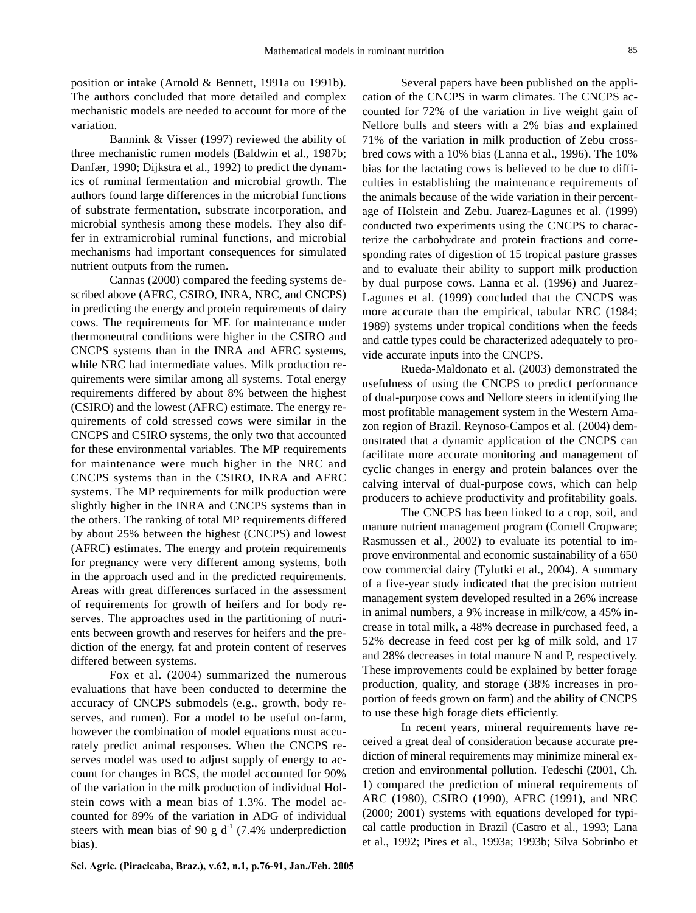position or intake (Arnold & Bennett, 1991a ou 1991b). The authors concluded that more detailed and complex mechanistic models are needed to account for more of the variation.

Bannink & Visser (1997) reviewed the ability of three mechanistic rumen models (Baldwin et al., 1987b; Danfær, 1990; Dijkstra et al., 1992) to predict the dynamics of ruminal fermentation and microbial growth. The authors found large differences in the microbial functions of substrate fermentation, substrate incorporation, and microbial synthesis among these models. They also differ in extramicrobial ruminal functions, and microbial mechanisms had important consequences for simulated nutrient outputs from the rumen.

Cannas (2000) compared the feeding systems described above (AFRC, CSIRO, INRA, NRC, and CNCPS) in predicting the energy and protein requirements of dairy cows. The requirements for ME for maintenance under thermoneutral conditions were higher in the CSIRO and CNCPS systems than in the INRA and AFRC systems, while NRC had intermediate values. Milk production requirements were similar among all systems. Total energy requirements differed by about 8% between the highest (CSIRO) and the lowest (AFRC) estimate. The energy requirements of cold stressed cows were similar in the CNCPS and CSIRO systems, the only two that accounted for these environmental variables. The MP requirements for maintenance were much higher in the NRC and CNCPS systems than in the CSIRO, INRA and AFRC systems. The MP requirements for milk production were slightly higher in the INRA and CNCPS systems than in the others. The ranking of total MP requirements differed by about 25% between the highest (CNCPS) and lowest (AFRC) estimates. The energy and protein requirements for pregnancy were very different among systems, both in the approach used and in the predicted requirements. Areas with great differences surfaced in the assessment of requirements for growth of heifers and for body reserves. The approaches used in the partitioning of nutrients between growth and reserves for heifers and the prediction of the energy, fat and protein content of reserves differed between systems.

Fox et al. (2004) summarized the numerous evaluations that have been conducted to determine the accuracy of CNCPS submodels (e.g., growth, body reserves, and rumen). For a model to be useful on-farm, however the combination of model equations must accurately predict animal responses. When the CNCPS reserves model was used to adjust supply of energy to account for changes in BCS, the model accounted for 90% of the variation in the milk production of individual Holstein cows with a mean bias of 1.3%. The model accounted for 89% of the variation in ADG of individual steers with mean bias of 90 g  $d^1$  (7.4% underprediction bias).

Several papers have been published on the application of the CNCPS in warm climates. The CNCPS accounted for 72% of the variation in live weight gain of Nellore bulls and steers with a 2% bias and explained 71% of the variation in milk production of Zebu crossbred cows with a 10% bias (Lanna et al., 1996). The 10% bias for the lactating cows is believed to be due to difficulties in establishing the maintenance requirements of the animals because of the wide variation in their percentage of Holstein and Zebu. Juarez-Lagunes et al. (1999) conducted two experiments using the CNCPS to characterize the carbohydrate and protein fractions and corresponding rates of digestion of 15 tropical pasture grasses and to evaluate their ability to support milk production by dual purpose cows. Lanna et al. (1996) and Juarez-Lagunes et al. (1999) concluded that the CNCPS was more accurate than the empirical, tabular NRC (1984; 1989) systems under tropical conditions when the feeds and cattle types could be characterized adequately to provide accurate inputs into the CNCPS.

Rueda-Maldonato et al. (2003) demonstrated the usefulness of using the CNCPS to predict performance of dual-purpose cows and Nellore steers in identifying the most profitable management system in the Western Amazon region of Brazil. Reynoso-Campos et al. (2004) demonstrated that a dynamic application of the CNCPS can facilitate more accurate monitoring and management of cyclic changes in energy and protein balances over the calving interval of dual-purpose cows, which can help producers to achieve productivity and profitability goals.

The CNCPS has been linked to a crop, soil, and manure nutrient management program (Cornell Cropware; Rasmussen et al., 2002) to evaluate its potential to improve environmental and economic sustainability of a 650 cow commercial dairy (Tylutki et al., 2004). A summary of a five-year study indicated that the precision nutrient management system developed resulted in a 26% increase in animal numbers, a 9% increase in milk/cow, a 45% increase in total milk, a 48% decrease in purchased feed, a 52% decrease in feed cost per kg of milk sold, and 17 and 28% decreases in total manure N and P, respectively. These improvements could be explained by better forage production, quality, and storage (38% increases in proportion of feeds grown on farm) and the ability of CNCPS to use these high forage diets efficiently.

In recent years, mineral requirements have received a great deal of consideration because accurate prediction of mineral requirements may minimize mineral excretion and environmental pollution. Tedeschi (2001, Ch. 1) compared the prediction of mineral requirements of ARC (1980), CSIRO (1990), AFRC (1991), and NRC (2000; 2001) systems with equations developed for typical cattle production in Brazil (Castro et al., 1993; Lana et al., 1992; Pires et al., 1993a; 1993b; Silva Sobrinho et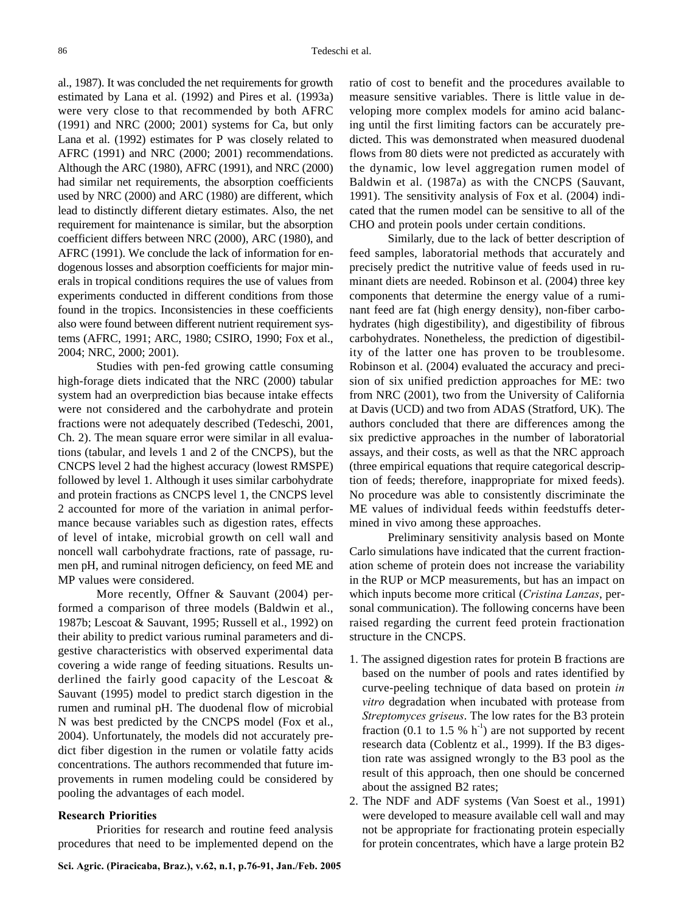al., 1987). It was concluded the net requirements for growth estimated by Lana et al. (1992) and Pires et al. (1993a) were very close to that recommended by both AFRC (1991) and NRC (2000; 2001) systems for Ca, but only Lana et al. (1992) estimates for P was closely related to AFRC (1991) and NRC (2000; 2001) recommendations. Although the ARC (1980), AFRC (1991), and NRC (2000) had similar net requirements, the absorption coefficients used by NRC (2000) and ARC (1980) are different, which lead to distinctly different dietary estimates. Also, the net requirement for maintenance is similar, but the absorption coefficient differs between NRC (2000), ARC (1980), and AFRC (1991). We conclude the lack of information for endogenous losses and absorption coefficients for major minerals in tropical conditions requires the use of values from experiments conducted in different conditions from those found in the tropics. Inconsistencies in these coefficients also were found between different nutrient requirement systems (AFRC, 1991; ARC, 1980; CSIRO, 1990; Fox et al., 2004; NRC, 2000; 2001).

Studies with pen-fed growing cattle consuming high-forage diets indicated that the NRC (2000) tabular system had an overprediction bias because intake effects were not considered and the carbohydrate and protein fractions were not adequately described (Tedeschi, 2001, Ch. 2). The mean square error were similar in all evaluations (tabular, and levels 1 and 2 of the CNCPS), but the CNCPS level 2 had the highest accuracy (lowest RMSPE) followed by level 1. Although it uses similar carbohydrate and protein fractions as CNCPS level 1, the CNCPS level 2 accounted for more of the variation in animal performance because variables such as digestion rates, effects of level of intake, microbial growth on cell wall and noncell wall carbohydrate fractions, rate of passage, rumen pH, and ruminal nitrogen deficiency, on feed ME and MP values were considered.

More recently, Offner & Sauvant (2004) performed a comparison of three models (Baldwin et al., 1987b; Lescoat & Sauvant, 1995; Russell et al., 1992) on their ability to predict various ruminal parameters and digestive characteristics with observed experimental data covering a wide range of feeding situations. Results underlined the fairly good capacity of the Lescoat & Sauvant (1995) model to predict starch digestion in the rumen and ruminal pH. The duodenal flow of microbial N was best predicted by the CNCPS model (Fox et al., 2004). Unfortunately, the models did not accurately predict fiber digestion in the rumen or volatile fatty acids concentrations. The authors recommended that future improvements in rumen modeling could be considered by pooling the advantages of each model.

#### **Research Priorities**

Priorities for research and routine feed analysis procedures that need to be implemented depend on the ratio of cost to benefit and the procedures available to measure sensitive variables. There is little value in developing more complex models for amino acid balancing until the first limiting factors can be accurately predicted. This was demonstrated when measured duodenal flows from 80 diets were not predicted as accurately with the dynamic, low level aggregation rumen model of Baldwin et al. (1987a) as with the CNCPS (Sauvant, 1991). The sensitivity analysis of Fox et al. (2004) indicated that the rumen model can be sensitive to all of the CHO and protein pools under certain conditions.

Similarly, due to the lack of better description of feed samples, laboratorial methods that accurately and precisely predict the nutritive value of feeds used in ruminant diets are needed. Robinson et al. (2004) three key components that determine the energy value of a ruminant feed are fat (high energy density), non-fiber carbohydrates (high digestibility), and digestibility of fibrous carbohydrates. Nonetheless, the prediction of digestibility of the latter one has proven to be troublesome. Robinson et al. (2004) evaluated the accuracy and precision of six unified prediction approaches for ME: two from NRC (2001), two from the University of California at Davis (UCD) and two from ADAS (Stratford, UK). The authors concluded that there are differences among the six predictive approaches in the number of laboratorial assays, and their costs, as well as that the NRC approach (three empirical equations that require categorical description of feeds; therefore, inappropriate for mixed feeds). No procedure was able to consistently discriminate the ME values of individual feeds within feedstuffs determined in vivo among these approaches.

Preliminary sensitivity analysis based on Monte Carlo simulations have indicated that the current fractionation scheme of protein does not increase the variability in the RUP or MCP measurements, but has an impact on which inputs become more critical (*Cristina Lanzas*, personal communication). The following concerns have been raised regarding the current feed protein fractionation structure in the CNCPS.

- 1. The assigned digestion rates for protein B fractions are based on the number of pools and rates identified by curve-peeling technique of data based on protein *in vitro* degradation when incubated with protease from *Streptomyces griseus*. The low rates for the B3 protein fraction (0.1 to 1.5 %  $h^{-1}$ ) are not supported by recent research data (Coblentz et al., 1999). If the B3 digestion rate was assigned wrongly to the B3 pool as the result of this approach, then one should be concerned about the assigned B2 rates;
- 2. The NDF and ADF systems (Van Soest et al., 1991) were developed to measure available cell wall and may not be appropriate for fractionating protein especially for protein concentrates, which have a large protein B2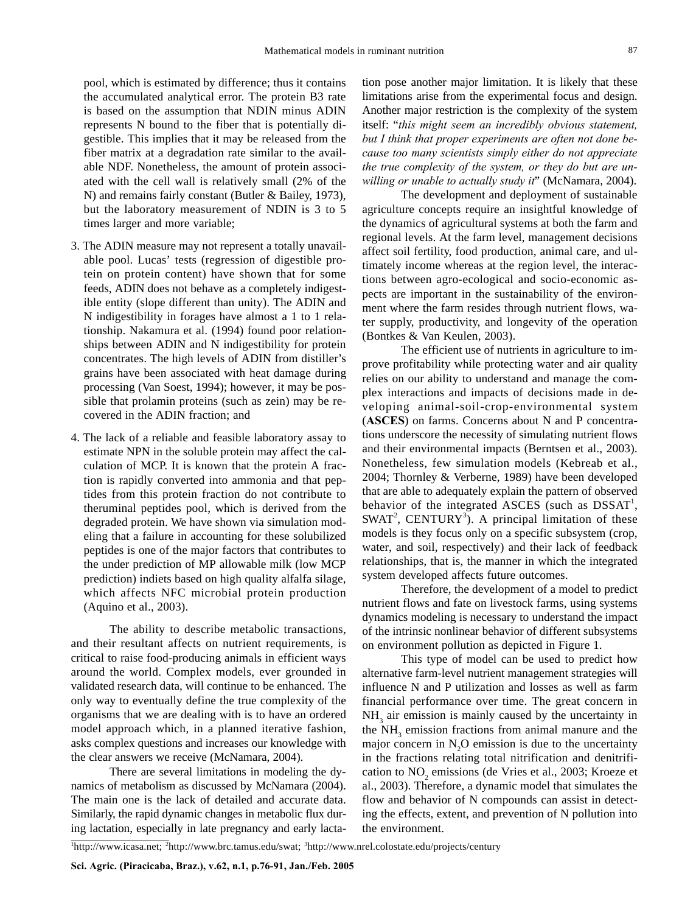pool, which is estimated by difference; thus it contains the accumulated analytical error. The protein B3 rate is based on the assumption that NDIN minus ADIN represents N bound to the fiber that is potentially digestible. This implies that it may be released from the fiber matrix at a degradation rate similar to the available NDF. Nonetheless, the amount of protein associated with the cell wall is relatively small (2% of the N) and remains fairly constant (Butler & Bailey, 1973), but the laboratory measurement of NDIN is 3 to 5 times larger and more variable;

- 3. The ADIN measure may not represent a totally unavailable pool. Lucas' tests (regression of digestible protein on protein content) have shown that for some feeds, ADIN does not behave as a completely indigestible entity (slope different than unity). The ADIN and N indigestibility in forages have almost a 1 to 1 relationship. Nakamura et al. (1994) found poor relationships between ADIN and N indigestibility for protein concentrates. The high levels of ADIN from distiller's grains have been associated with heat damage during processing (Van Soest, 1994); however, it may be possible that prolamin proteins (such as zein) may be recovered in the ADIN fraction; and
- 4. The lack of a reliable and feasible laboratory assay to estimate NPN in the soluble protein may affect the calculation of MCP. It is known that the protein A fraction is rapidly converted into ammonia and that peptides from this protein fraction do not contribute to theruminal peptides pool, which is derived from the degraded protein. We have shown via simulation modeling that a failure in accounting for these solubilized peptides is one of the major factors that contributes to the under prediction of MP allowable milk (low MCP prediction) indiets based on high quality alfalfa silage, which affects NFC microbial protein production (Aquino et al., 2003).

The ability to describe metabolic transactions, and their resultant affects on nutrient requirements, is critical to raise food-producing animals in efficient ways around the world. Complex models, ever grounded in validated research data, will continue to be enhanced. The only way to eventually define the true complexity of the organisms that we are dealing with is to have an ordered model approach which, in a planned iterative fashion, asks complex questions and increases our knowledge with the clear answers we receive (McNamara, 2004).

There are several limitations in modeling the dynamics of metabolism as discussed by McNamara (2004). The main one is the lack of detailed and accurate data. Similarly, the rapid dynamic changes in metabolic flux during lactation, especially in late pregnancy and early lactation pose another major limitation. It is likely that these limitations arise from the experimental focus and design. Another major restriction is the complexity of the system itself: "*this might seem an incredibly obvious statement, but I think that proper experiments are often not done because too many scientists simply either do not appreciate the true complexity of the system, or they do but are unwilling or unable to actually study it*" (McNamara, 2004).

The development and deployment of sustainable agriculture concepts require an insightful knowledge of the dynamics of agricultural systems at both the farm and regional levels. At the farm level, management decisions affect soil fertility, food production, animal care, and ultimately income whereas at the region level, the interactions between agro-ecological and socio-economic aspects are important in the sustainability of the environment where the farm resides through nutrient flows, water supply, productivity, and longevity of the operation (Bontkes & Van Keulen, 2003).

The efficient use of nutrients in agriculture to improve profitability while protecting water and air quality relies on our ability to understand and manage the complex interactions and impacts of decisions made in developing animal-soil-crop-environmental system (**ASCES**) on farms. Concerns about N and P concentrations underscore the necessity of simulating nutrient flows and their environmental impacts (Berntsen et al., 2003). Nonetheless, few simulation models (Kebreab et al., 2004; Thornley & Verberne, 1989) have been developed that are able to adequately explain the pattern of observed behavior of the integrated ASCES (such as  $DSSAT<sup>1</sup>$ ,  $SWAT<sup>2</sup>$ , CENTURY<sup>3</sup>). A principal limitation of these models is they focus only on a specific subsystem (crop, water, and soil, respectively) and their lack of feedback relationships, that is, the manner in which the integrated system developed affects future outcomes.

Therefore, the development of a model to predict nutrient flows and fate on livestock farms, using systems dynamics modeling is necessary to understand the impact of the intrinsic nonlinear behavior of different subsystems on environment pollution as depicted in Figure 1.

This type of model can be used to predict how alternative farm-level nutrient management strategies will influence N and P utilization and losses as well as farm financial performance over time. The great concern in  $NH<sub>3</sub>$  air emission is mainly caused by the uncertainty in the  $NH<sub>3</sub>$  emission fractions from animal manure and the major concern in  $N<sub>2</sub>O$  emission is due to the uncertainty in the fractions relating total nitrification and denitrification to  $NO<sub>2</sub>$  emissions (de Vries et al., 2003; Kroeze et al., 2003). Therefore, a dynamic model that simulates the flow and behavior of N compounds can assist in detecting the effects, extent, and prevention of N pollution into the environment.

<sup>1</sup>http://www.icasa.net; 2http://www.brc.tamus.edu/swat; 3http://www.nrel.colostate.edu/projects/century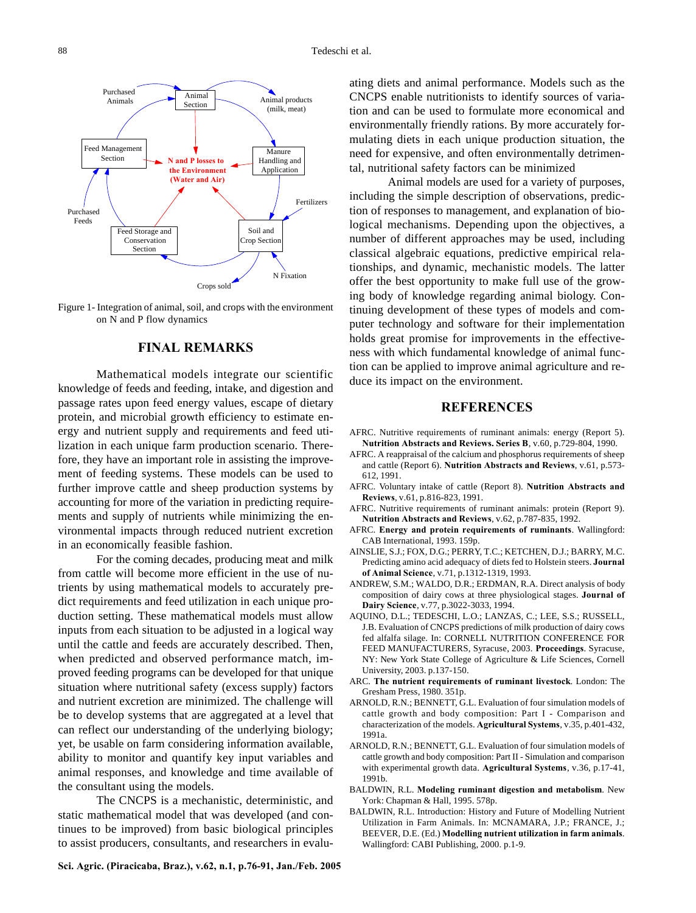

Figure 1- Integration of animal, soil, and crops with the environment on N and P flow dynamics

## **FINAL REMARKS**

Mathematical models integrate our scientific knowledge of feeds and feeding, intake, and digestion and passage rates upon feed energy values, escape of dietary protein, and microbial growth efficiency to estimate energy and nutrient supply and requirements and feed utilization in each unique farm production scenario. Therefore, they have an important role in assisting the improvement of feeding systems. These models can be used to further improve cattle and sheep production systems by accounting for more of the variation in predicting requirements and supply of nutrients while minimizing the environmental impacts through reduced nutrient excretion in an economically feasible fashion.

For the coming decades, producing meat and milk from cattle will become more efficient in the use of nutrients by using mathematical models to accurately predict requirements and feed utilization in each unique production setting. These mathematical models must allow inputs from each situation to be adjusted in a logical way until the cattle and feeds are accurately described. Then, when predicted and observed performance match, improved feeding programs can be developed for that unique situation where nutritional safety (excess supply) factors and nutrient excretion are minimized. The challenge will be to develop systems that are aggregated at a level that can reflect our understanding of the underlying biology; yet, be usable on farm considering information available, ability to monitor and quantify key input variables and animal responses, and knowledge and time available of the consultant using the models.

The CNCPS is a mechanistic, deterministic, and static mathematical model that was developed (and continues to be improved) from basic biological principles to assist producers, consultants, and researchers in evaluating diets and animal performance. Models such as the CNCPS enable nutritionists to identify sources of variation and can be used to formulate more economical and environmentally friendly rations. By more accurately formulating diets in each unique production situation, the need for expensive, and often environmentally detrimental, nutritional safety factors can be minimized

Animal models are used for a variety of purposes, including the simple description of observations, prediction of responses to management, and explanation of biological mechanisms. Depending upon the objectives, a number of different approaches may be used, including classical algebraic equations, predictive empirical relationships, and dynamic, mechanistic models. The latter offer the best opportunity to make full use of the growing body of knowledge regarding animal biology. Continuing development of these types of models and computer technology and software for their implementation holds great promise for improvements in the effectiveness with which fundamental knowledge of animal function can be applied to improve animal agriculture and reduce its impact on the environment.

#### **REFERENCES**

- AFRC. Nutritive requirements of ruminant animals: energy (Report 5). **Nutrition Abstracts and Reviews. Series B**, v.60, p.729-804, 1990.
- AFRC. A reappraisal of the calcium and phosphorus requirements of sheep and cattle (Report 6). **Nutrition Abstracts and Reviews**, v.61, p.573- 612, 1991.
- AFRC. Voluntary intake of cattle (Report 8). **Nutrition Abstracts and Reviews**, v.61, p.816-823, 1991.
- AFRC. Nutritive requirements of ruminant animals: protein (Report 9). **Nutrition Abstracts and Reviews**, v.62, p.787-835, 1992.
- AFRC. **Energy and protein requirements of ruminants**. Wallingford: CAB International, 1993. 159p.
- AINSLIE, S.J.; FOX, D.G.; PERRY, T.C.; KETCHEN, D.J.; BARRY, M.C. Predicting amino acid adequacy of diets fed to Holstein steers. **Journal of Animal Science**, v.71, p.1312-1319, 1993.
- ANDREW, S.M.; WALDO, D.R.; ERDMAN, R.A. Direct analysis of body composition of dairy cows at three physiological stages. **Journal of Dairy Science**, v.77, p.3022-3033, 1994.
- AQUINO, D.L.; TEDESCHI, L.O.; LANZAS, C.; LEE, S.S.; RUSSELL, J.B. Evaluation of CNCPS predictions of milk production of dairy cows fed alfalfa silage. In: CORNELL NUTRITION CONFERENCE FOR FEED MANUFACTURERS, Syracuse, 2003. **Proceedings**. Syracuse, NY: New York State College of Agriculture & Life Sciences, Cornell University, 2003. p.137-150.
- ARC. **The nutrient requirements of ruminant livestock**. London: The Gresham Press, 1980. 351p.
- ARNOLD, R.N.; BENNETT, G.L. Evaluation of four simulation models of cattle growth and body composition: Part I - Comparison and characterization of the models. **Agricultural Systems**, v.35, p.401-432, 1991a.
- ARNOLD, R.N.; BENNETT, G.L. Evaluation of four simulation models of cattle growth and body composition: Part II - Simulation and comparison with experimental growth data. **Agricultural Systems**, v.36, p.17-41, 1991b.
- BALDWIN, R.L. **Modeling ruminant digestion and metabolism**. New York: Chapman & Hall, 1995. 578p.
- BALDWIN, R.L. Introduction: History and Future of Modelling Nutrient Utilization in Farm Animals. In: MCNAMARA, J.P.; FRANCE, J.; BEEVER, D.E. (Ed.) **Modelling nutrient utilization in farm animals**. Wallingford: CABI Publishing, 2000. p.1-9.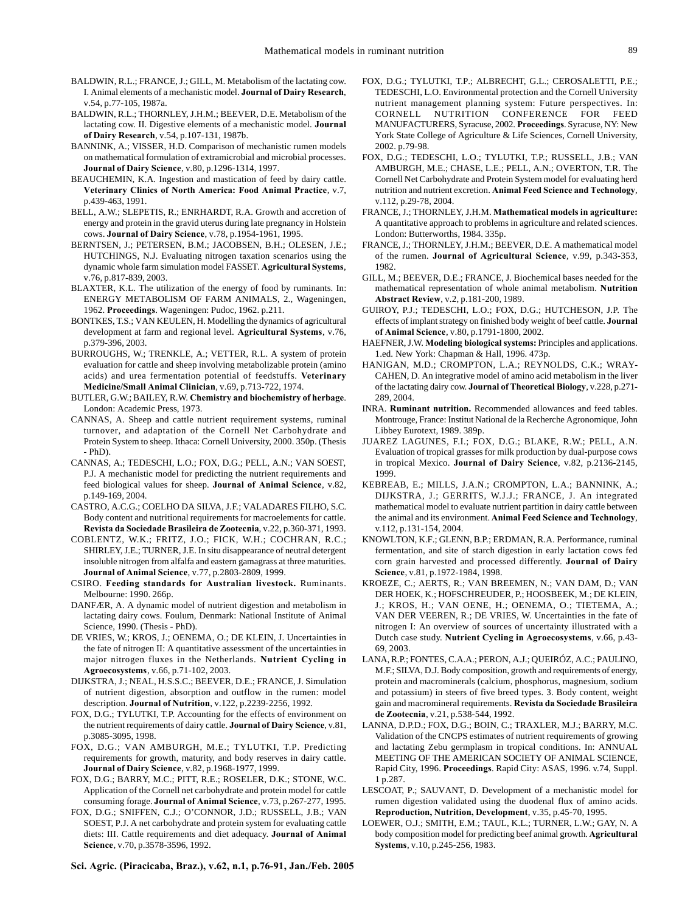- BALDWIN, R.L.; FRANCE, J.; GILL, M. Metabolism of the lactating cow. I. Animal elements of a mechanistic model. **Journal of Dairy Research**, v.54, p.77-105, 1987a.
- BALDWIN, R.L.; THORNLEY, J.H.M.; BEEVER, D.E. Metabolism of the lactating cow. II. Digestive elements of a mechanistic model. **Journal of Dairy Research**, v.54, p.107-131, 1987b.
- BANNINK, A.; VISSER, H.D. Comparison of mechanistic rumen models on mathematical formulation of extramicrobial and microbial processes. **Journal of Dairy Science**, v.80, p.1296-1314, 1997.
- BEAUCHEMIN, K.A. Ingestion and mastication of feed by dairy cattle. **Veterinary Clinics of North America: Food Animal Practice**, v.7, p.439-463, 1991.
- BELL, A.W.; SLEPETIS, R.; ENRHARDT, R.A. Growth and accretion of energy and protein in the gravid uterus during late pregnancy in Holstein cows. **Journal of Dairy Science**, v.78, p.1954-1961, 1995.
- BERNTSEN, J.; PETERSEN, B.M.; JACOBSEN, B.H.; OLESEN, J.E.; HUTCHINGS, N.J. Evaluating nitrogen taxation scenarios using the dynamic whole farm simulation model FASSET. **Agricultural Systems**, v.76, p.817-839, 2003.
- BLAXTER, K.L. The utilization of the energy of food by ruminants. In: ENERGY METABOLISM OF FARM ANIMALS, 2., Wageningen, 1962. **Proceedings**. Wageningen: Pudoc, 1962. p.211.
- BONTKES, T.S.; VAN KEULEN, H. Modelling the dynamics of agricultural development at farm and regional level. **Agricultural Systems**, v.76, p.379-396, 2003.
- BURROUGHS, W.; TRENKLE, A.; VETTER, R.L. A system of protein evaluation for cattle and sheep involving metabolizable protein (amino acids) and urea fermentation potential of feedstuffs. **Veterinary Medicine/Small Animal Clinician**, v.69, p.713-722, 1974.
- BUTLER, G.W.; BAILEY, R.W. **Chemistry and biochemistry of herbage**. London: Academic Press, 1973.
- CANNAS, A. Sheep and cattle nutrient requirement systems, ruminal turnover, and adaptation of the Cornell Net Carbohydrate and Protein System to sheep. Ithaca: Cornell University, 2000. 350p. (Thesis  $-$  PhD $)$ .
- CANNAS, A.; TEDESCHI, L.O.; FOX, D.G.; PELL, A.N.; VAN SOEST, P.J. A mechanistic model for predicting the nutrient requirements and feed biological values for sheep. **Journal of Animal Science**, v.82, p.149-169, 2004.
- CASTRO, A.C.G.; COELHO DA SILVA, J.F.; VALADARES FILHO, S.C. Body content and nutritional requirements for macroelements for cattle. **Revista da Sociedade Brasileira de Zootecnia**, v.22, p.360-371, 1993.
- COBLENTZ, W.K.; FRITZ, J.O.; FICK, W.H.; COCHRAN, R.C.; SHIRLEY, J.E.; TURNER, J.E. In situ disappearance of neutral detergent insoluble nitrogen from alfalfa and eastern gamagrass at three maturities. **Journal of Animal Science**, v.77, p.2803-2809, 1999.
- CSIRO. **Feeding standards for Australian livestock.** Ruminants. Melbourne: 1990. 266p.
- DANFÆR, A. A dynamic model of nutrient digestion and metabolism in lactating dairy cows. Foulum, Denmark: National Institute of Animal Science, 1990. (Thesis - PhD).
- DE VRIES, W.; KROS, J.; OENEMA, O.; DE KLEIN, J. Uncertainties in the fate of nitrogen II: A quantitative assessment of the uncertainties in major nitrogen fluxes in the Netherlands. **Nutrient Cycling in Agroecosystems**, v.66, p.71-102, 2003.
- DIJKSTRA, J.; NEAL, H.S.S.C.; BEEVER, D.E.; FRANCE, J. Simulation of nutrient digestion, absorption and outflow in the rumen: model description. **Journal of Nutrition**, v.122, p.2239-2256, 1992.
- FOX, D.G.; TYLUTKI, T.P. Accounting for the effects of environment on the nutrient requirements of dairy cattle. **Journal of Dairy Science**, v.81, p.3085-3095, 1998.
- FOX, D.G.; VAN AMBURGH, M.E.; TYLUTKI, T.P. Predicting requirements for growth, maturity, and body reserves in dairy cattle. **Journal of Dairy Science**, v.82, p.1968-1977, 1999.
- FOX, D.G.; BARRY, M.C.; PITT, R.E.; ROSELER, D.K.; STONE, W.C. Application of the Cornell net carbohydrate and protein model for cattle consuming forage. **Journal of Animal Science**, v.73, p.267-277, 1995.
- FOX, D.G.; SNIFFEN, C.J.; O'CONNOR, J.D.; RUSSELL, J.B.; VAN SOEST, P.J. A net carbohydrate and protein system for evaluating cattle diets: III. Cattle requirements and diet adequacy. **Journal of Animal Science**, v.70, p.3578-3596, 1992.
- FOX, D.G.; TYLUTKI, T.P.; ALBRECHT, G.L.; CEROSALETTI, P.E.; TEDESCHI, L.O. Environmental protection and the Cornell University nutrient management planning system: Future perspectives. In: CORNELL NUTRITION CONFERENCE FOR FEED MANUFACTURERS, Syracuse, 2002. **Proceedings**. Syracuse, NY: New York State College of Agriculture & Life Sciences, Cornell University, 2002. p.79-98.
- FOX, D.G.; TEDESCHI, L.O.; TYLUTKI, T.P.; RUSSELL, J.B.; VAN AMBURGH, M.E.; CHASE, L.E.; PELL, A.N.; OVERTON, T.R. The Cornell Net Carbohydrate and Protein System model for evaluating herd nutrition and nutrient excretion. **Animal Feed Science and Technology**, v.112, p.29-78, 2004.
- FRANCE, J.; THORNLEY, J.H.M. **Mathematical models in agriculture:** A quantitative approach to problems in agriculture and related sciences. London: Butterworths, 1984. 335p.
- FRANCE, J.; THORNLEY, J.H.M.; BEEVER, D.E. A mathematical model of the rumen. **Journal of Agricultural Science**, v.99, p.343-353, 1982.
- GILL, M.; BEEVER, D.E.; FRANCE, J. Biochemical bases needed for the mathematical representation of whole animal metabolism. **Nutrition Abstract Review**, v.2, p.181-200, 1989.
- GUIROY, P.J.; TEDESCHI, L.O.; FOX, D.G.; HUTCHESON, J.P. The effects of implant strategy on finished body weight of beef cattle. **Journal of Animal Science**, v.80, p.1791-1800, 2002.
- HAEFNER, J.W. **Modeling biological systems:** Principles and applications. 1.ed. New York: Chapman & Hall, 1996. 473p.
- HANIGAN, M.D.; CROMPTON, L.A.; REYNOLDS, C.K.; WRAY-CAHEN, D. An integrative model of amino acid metabolism in the liver of the lactating dairy cow. **Journal of Theoretical Biology**, v.228, p.271- 289, 2004.
- INRA. **Ruminant nutrition.** Recommended allowances and feed tables. Montrouge, France: Institut National de la Recherche Agronomique, John Libbey Eurotext, 1989. 389p.
- JUAREZ LAGUNES, F.I.; FOX, D.G.; BLAKE, R.W.; PELL, A.N. Evaluation of tropical grasses for milk production by dual-purpose cows in tropical Mexico. **Journal of Dairy Science**, v.82, p.2136-2145, 1999.
- KEBREAB, E.; MILLS, J.A.N.; CROMPTON, L.A.; BANNINK, A.; DIJKSTRA, J.; GERRITS, W.J.J.; FRANCE, J. An integrated mathematical model to evaluate nutrient partition in dairy cattle between the animal and its environment. **Animal Feed Science and Technology**, v.112, p.131-154, 2004.
- KNOWLTON, K.F.; GLENN, B.P.; ERDMAN, R.A. Performance, ruminal fermentation, and site of starch digestion in early lactation cows fed corn grain harvested and processed differently. **Journal of Dairy Science**, v.81, p.1972-1984, 1998.
- KROEZE, C.; AERTS, R.; VAN BREEMEN, N.; VAN DAM, D.; VAN DER HOEK, K.; HOFSCHREUDER, P.; HOOSBEEK, M.; DE KLEIN, J.; KROS, H.; VAN OENE, H.; OENEMA, O.; TIETEMA, A.; VAN DER VEEREN, R.; DE VRIES, W. Uncertainties in the fate of nitrogen I: An overview of sources of uncertainty illustrated with a Dutch case study. **Nutrient Cycling in Agroecosystems**, v.66, p.43- 69, 2003.
- LANA, R.P.; FONTES, C.A.A.; PERON, A.J.; QUEIRÓZ, A.C.; PAULINO, M.F.; SILVA, D.J. Body composition, growth and requirements of energy, protein and macrominerals (calcium, phosphorus, magnesium, sodium and potassium) in steers of five breed types. 3. Body content, weight gain and macromineral requirements. **Revista da Sociedade Brasileira de Zootecnia**, v.21, p.538-544, 1992.
- LANNA, D.P.D.; FOX, D.G.; BOIN, C.; TRAXLER, M.J.; BARRY, M.C. Validation of the CNCPS estimates of nutrient requirements of growing and lactating Zebu germplasm in tropical conditions. In: ANNUAL MEETING OF THE AMERICAN SOCIETY OF ANIMAL SCIENCE, Rapid City, 1996. **Proceedings**. Rapid City: ASAS, 1996. v.74, Suppl. 1 p.287.
- LESCOAT, P.; SAUVANT, D. Development of a mechanistic model for rumen digestion validated using the duodenal flux of amino acids. **Reproduction, Nutrition, Development**, v.35, p.45-70, 1995.
- LOEWER, O.J.; SMITH, E.M.; TAUL, K.L.; TURNER, L.W.; GAY, N. A body composition model for predicting beef animal growth. **Agricultural Systems**, v.10, p.245-256, 1983.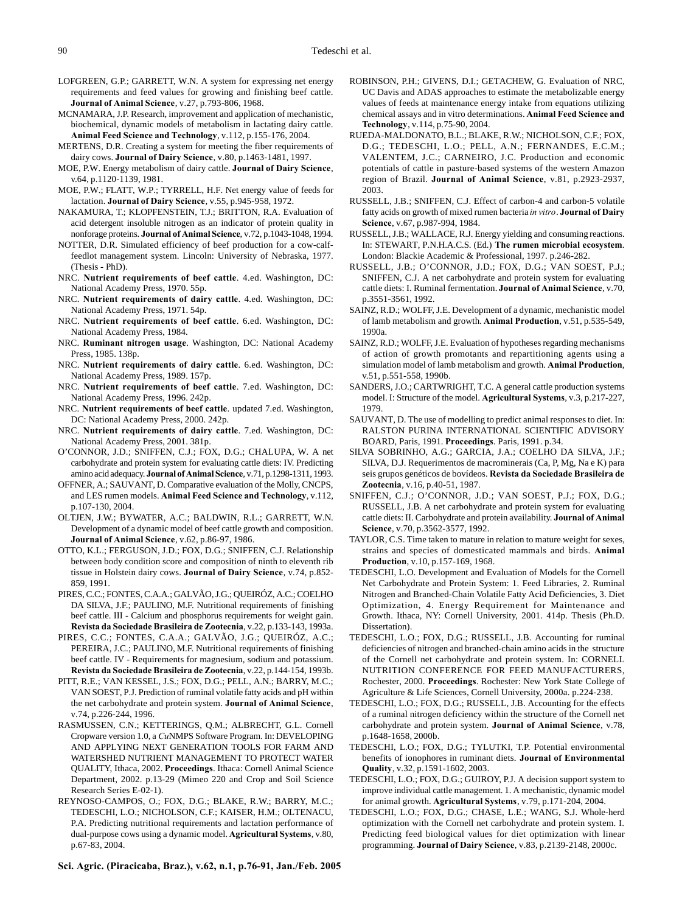90 Tedeschi et al.

- LOFGREEN, G.P.; GARRETT, W.N. A system for expressing net energy requirements and feed values for growing and finishing beef cattle. **Journal of Animal Science**, v.27, p.793-806, 1968.
- MCNAMARA, J.P. Research, improvement and application of mechanistic, biochemical, dynamic models of metabolism in lactating dairy cattle. **Animal Feed Science and Technology**, v.112, p.155-176, 2004.
- MERTENS, D.R. Creating a system for meeting the fiber requirements of dairy cows. **Journal of Dairy Science**, v.80, p.1463-1481, 1997.
- MOE, P.W. Energy metabolism of dairy cattle. **Journal of Dairy Science**, v.64, p.1120-1139, 1981.
- MOE, P.W.; FLATT, W.P.; TYRRELL, H.F. Net energy value of feeds for lactation. **Journal of Dairy Science**, v.55, p.945-958, 1972.
- NAKAMURA, T.; KLOPFENSTEIN, T.J.; BRITTON, R.A. Evaluation of acid detergent insoluble nitrogen as an indicator of protein quality in nonforage proteins. **Journal of Animal Science**, v.72, p.1043-1048, 1994.
- NOTTER, D.R. Simulated efficiency of beef production for a cow-calffeedlot management system. Lincoln: University of Nebraska, 1977. (Thesis - PhD).
- NRC. **Nutrient requirements of beef cattle**. 4.ed. Washington, DC: National Academy Press, 1970. 55p.
- NRC. **Nutrient requirements of dairy cattle**. 4.ed. Washington, DC: National Academy Press, 1971. 54p.
- NRC. **Nutrient requirements of beef cattle**. 6.ed. Washington, DC: National Academy Press, 1984.
- NRC. **Ruminant nitrogen usage**. Washington, DC: National Academy Press, 1985. 138p.
- NRC. **Nutrient requirements of dairy cattle**. 6.ed. Washington, DC: National Academy Press, 1989. 157p.
- NRC. **Nutrient requirements of beef cattle**. 7.ed. Washington, DC: National Academy Press, 1996. 242p.
- NRC. **Nutrient requirements of beef cattle**. updated 7.ed. Washington, DC: National Academy Press, 2000. 242p.
- NRC. **Nutrient requirements of dairy cattle**. 7.ed. Washington, DC: National Academy Press, 2001. 381p.
- O'CONNOR, J.D.; SNIFFEN, C.J.; FOX, D.G.; CHALUPA, W. A net carbohydrate and protein system for evaluating cattle diets: IV. Predicting amino acid adequacy. **Journal of Animal Science**, v.71, p.1298-1311, 1993.
- OFFNER, A.; SAUVANT, D. Comparative evaluation of the Molly, CNCPS, and LES rumen models. **Animal Feed Science and Technology**, v.112, p.107-130, 2004.
- OLTJEN, J.W.; BYWATER, A.C.; BALDWIN, R.L.; GARRETT, W.N. Development of a dynamic model of beef cattle growth and composition. **Journal of Animal Science**, v.62, p.86-97, 1986.
- OTTO, K.L.; FERGUSON, J.D.; FOX, D.G.; SNIFFEN, C.J. Relationship between body condition score and composition of ninth to eleventh rib tissue in Holstein dairy cows. **Journal of Dairy Science**, v.74, p.852- 859, 1991.
- PIRES, C.C.; FONTES, C.A.A.; GALVÃO, J.G.; QUEIRÓZ, A.C.; COELHO DA SILVA, J.F.; PAULINO, M.F. Nutritional requirements of finishing beef cattle. III - Calcium and phosphorus requirements for weight gain. **Revista da Sociedade Brasileira de Zootecnia**, v.22, p.133-143, 1993a.
- PIRES, C.C.; FONTES, C.A.A.; GALVÃO, J.G.; QUEIRÓZ, A.C.; PEREIRA, J.C.; PAULINO, M.F. Nutritional requirements of finishing beef cattle. IV - Requirements for magnesium, sodium and potassium. **Revista da Sociedade Brasileira de Zootecnia**, v.22, p.144-154, 1993b.
- PITT, R.E.; VAN KESSEL, J.S.; FOX, D.G.; PELL, A.N.; BARRY, M.C.; VAN SOEST, P.J. Prediction of ruminal volatile fatty acids and pH within the net carbohydrate and protein system. **Journal of Animal Science**, v.74, p.226-244, 1996.
- RASMUSSEN, C.N.; KETTERINGS, Q.M.; ALBRECHT, G.L. Cornell Cropware version 1.0, a *Cu*NMPS Software Program. In: DEVELOPING AND APPLYING NEXT GENERATION TOOLS FOR FARM AND WATERSHED NUTRIENT MANAGEMENT TO PROTECT WATER QUALITY, Ithaca, 2002. **Proceedings**. Ithaca: Cornell Animal Science Department, 2002. p.13-29 (Mimeo 220 and Crop and Soil Science Research Series E-02-1).
- REYNOSO-CAMPOS, O.; FOX, D.G.; BLAKE, R.W.; BARRY, M.C.; TEDESCHI, L.O.; NICHOLSON, C.F.; KAISER, H.M.; OLTENACU, P.A. Predicting nutritional requirements and lactation performance of dual-purpose cows using a dynamic model. **Agricultural Systems**, v.80, p.67-83, 2004.
- ROBINSON, P.H.; GIVENS, D.I.; GETACHEW, G. Evaluation of NRC, UC Davis and ADAS approaches to estimate the metabolizable energy values of feeds at maintenance energy intake from equations utilizing chemical assays and in vitro determinations. **Animal Feed Science and Technology**, v.114, p.75-90, 2004.
- RUEDA-MALDONATO, B.L.; BLAKE, R.W.; NICHOLSON, C.F.; FOX, D.G.; TEDESCHI, L.O.; PELL, A.N.; FERNANDES, E.C.M.; VALENTEM, J.C.; CARNEIRO, J.C. Production and economic potentials of cattle in pasture-based systems of the western Amazon region of Brazil. **Journal of Animal Science**, v.81, p.2923-2937, 2003.
- RUSSELL, J.B.; SNIFFEN, C.J. Effect of carbon-4 and carbon-5 volatile fatty acids on growth of mixed rumen bacteria *in vitro*. **Journal of Dairy Science**, v.67, p.987-994, 1984.
- RUSSELL, J.B.; WALLACE, R.J. Energy yielding and consuming reactions. In: STEWART, P.N.H.A.C.S. (Ed.) **The rumen microbial ecosystem**. London: Blackie Academic & Professional, 1997. p.246-282.
- RUSSELL, J.B.; O'CONNOR, J.D.; FOX, D.G.; VAN SOEST, P.J.; SNIFFEN, C.J. A net carbohydrate and protein system for evaluating cattle diets: I. Ruminal fermentation. **Journal of Animal Science**, v.70, p.3551-3561, 1992.
- SAINZ, R.D.; WOLFF, J.E. Development of a dynamic, mechanistic model of lamb metabolism and growth. **Animal Production**, v.51, p.535-549, 1990a.
- SAINZ, R.D.; WOLFF, J.E. Evaluation of hypotheses regarding mechanisms of action of growth promotants and repartitioning agents using a simulation model of lamb metabolism and growth. **Animal Production**, v.51, p.551-558, 1990b.
- SANDERS, J.O.; CARTWRIGHT, T.C. A general cattle production systems model. I: Structure of the model. **Agricultural Systems**, v.3, p.217-227, 1979.
- SAUVANT, D. The use of modelling to predict animal responses to diet. In: RALSTON PURINA INTERNATIONAL SCIENTIFIC ADVISORY BOARD, Paris, 1991. **Proceedings**. Paris, 1991. p.34.
- SILVA SOBRINHO, A.G.; GARCIA, J.A.; COELHO DA SILVA, J.F.; SILVA, D.J. Requerimentos de macrominerais (Ca, P, Mg, Na e K) para seis grupos genéticos de bovídeos. **Revista da Sociedade Brasileira de Zootecnia**, v.16, p.40-51, 1987.
- SNIFFEN, C.J.; O'CONNOR, J.D.; VAN SOEST, P.J.; FOX, D.G.; RUSSELL, J.B. A net carbohydrate and protein system for evaluating cattle diets: II. Carbohydrate and protein availability. **Journal of Animal Science**, v.70, p.3562-3577, 1992.
- TAYLOR, C.S. Time taken to mature in relation to mature weight for sexes, strains and species of domesticated mammals and birds. **Animal Production**, v.10, p.157-169, 1968.
- TEDESCHI, L.O. Development and Evaluation of Models for the Cornell Net Carbohydrate and Protein System: 1. Feed Libraries, 2. Ruminal Nitrogen and Branched-Chain Volatile Fatty Acid Deficiencies, 3. Diet Optimization, 4. Energy Requirement for Maintenance and Growth. Ithaca, NY: Cornell University, 2001. 414p. Thesis (Ph.D. Dissertation).
- TEDESCHI, L.O.; FOX, D.G.; RUSSELL, J.B. Accounting for ruminal deficiencies of nitrogen and branched-chain amino acids in the structure of the Cornell net carbohydrate and protein system. In: CORNELL NUTRITION CONFERENCE FOR FEED MANUFACTURERS, Rochester, 2000. **Proceedings**. Rochester: New York State College of Agriculture & Life Sciences, Cornell University, 2000a. p.224-238.
- TEDESCHI, L.O.; FOX, D.G.; RUSSELL, J.B. Accounting for the effects of a ruminal nitrogen deficiency within the structure of the Cornell net carbohydrate and protein system. **Journal of Animal Science**, v.78, p.1648-1658, 2000b.
- TEDESCHI, L.O.; FOX, D.G.; TYLUTKI, T.P. Potential environmental benefits of ionophores in ruminant diets. **Journal of Environmental Quality**, v.32, p.1591-1602, 2003.
- TEDESCHI, L.O.; FOX, D.G.; GUIROY, P.J. A decision support system to improve individual cattle management. 1. A mechanistic, dynamic model for animal growth. **Agricultural Systems**, v.79, p.171-204, 2004.
- TEDESCHI, L.O.; FOX, D.G.; CHASE, L.E.; WANG, S.J. Whole-herd optimization with the Cornell net carbohydrate and protein system. I. Predicting feed biological values for diet optimization with linear programming. **Journal of Dairy Science**, v.83, p.2139-2148, 2000c.